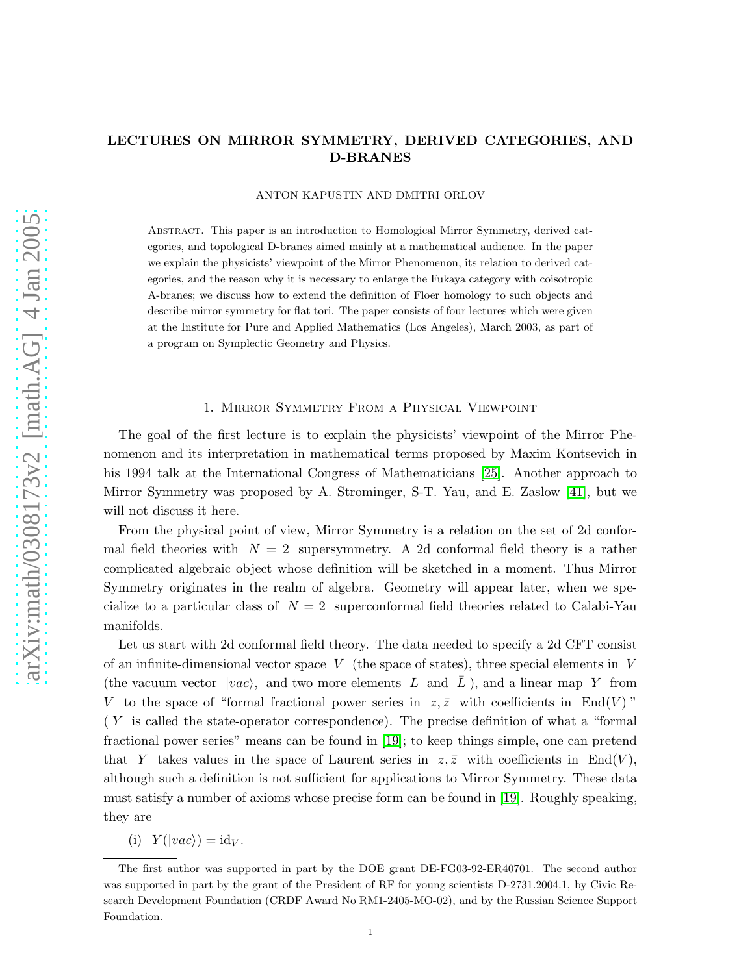## LECTURES ON MIRROR SYMMETRY, DERIVED CATEGORIES, AND D-BRANES

#### ANTON KAPUSTIN AND DMITRI ORLOV

Abstract. This paper is an introduction to Homological Mirror Symmetry, derived categories, and topological D-branes aimed mainly at a mathematical audience. In the paper we explain the physicists' viewpoint of the Mirror Phenomenon, its relation to derived categories, and the reason why it is necessary to enlarge the Fukaya category with coisotropic A-branes; we discuss how to extend the definition of Floer homology to such objects and describe mirror symmetry for flat tori. The paper consists of four lectures which were given at the Institute for Pure and Applied Mathematics (Los Angeles), March 2003, as part of a program on Symplectic Geometry and Physics.

#### 1. Mirror Symmetry From a Physical Viewpoint

The goal of the first lecture is to explain the physicists' viewpoint of the Mirror Phenomenon and its interpretation in mathematical terms proposed by Maxim Kontsevich in his 1994 talk at the International Congress of Mathematicians [\[25\]](#page-30-0). Another approach to Mirror Symmetry was proposed by A. Strominger, S-T. Yau, and E. Zaslow [\[41\]](#page-31-0), but we will not discuss it here.

From the physical point of view, Mirror Symmetry is a relation on the set of 2d conformal field theories with  $N = 2$  supersymmetry. A 2d conformal field theory is a rather complicated algebraic object whose definition will be sketched in a moment. Thus Mirror Symmetry originates in the realm of algebra. Geometry will appear later, when we specialize to a particular class of  $N = 2$  superconformal field theories related to Calabi-Yau manifolds.

Let us start with 2d conformal field theory. The data needed to specify a 2d CFT consist of an infinite-dimensional vector space V (the space of states), three special elements in V (the vacuum vector  $|vac\rangle$ , and two more elements L and L ), and a linear map Y from V to the space of "formal fractional power series in  $z, \bar{z}$  with coefficients in End(V)" ( Y is called the state-operator correspondence). The precise definition of what a "formal fractional power series" means can be found in [\[19\]](#page-30-1); to keep things simple, one can pretend that Y takes values in the space of Laurent series in  $z, \overline{z}$  with coefficients in End(V), although such a definition is not sufficient for applications to Mirror Symmetry. These data must satisfy a number of axioms whose precise form can be found in [\[19\]](#page-30-1). Roughly speaking, they are

(i)  $Y(|vac\rangle) = id_V$ .

The first author was supported in part by the DOE grant DE-FG03-92-ER40701. The second author was supported in part by the grant of the President of RF for young scientists D-2731.2004.1, by Civic Research Development Foundation (CRDF Award No RM1-2405-MO-02), and by the Russian Science Support Foundation.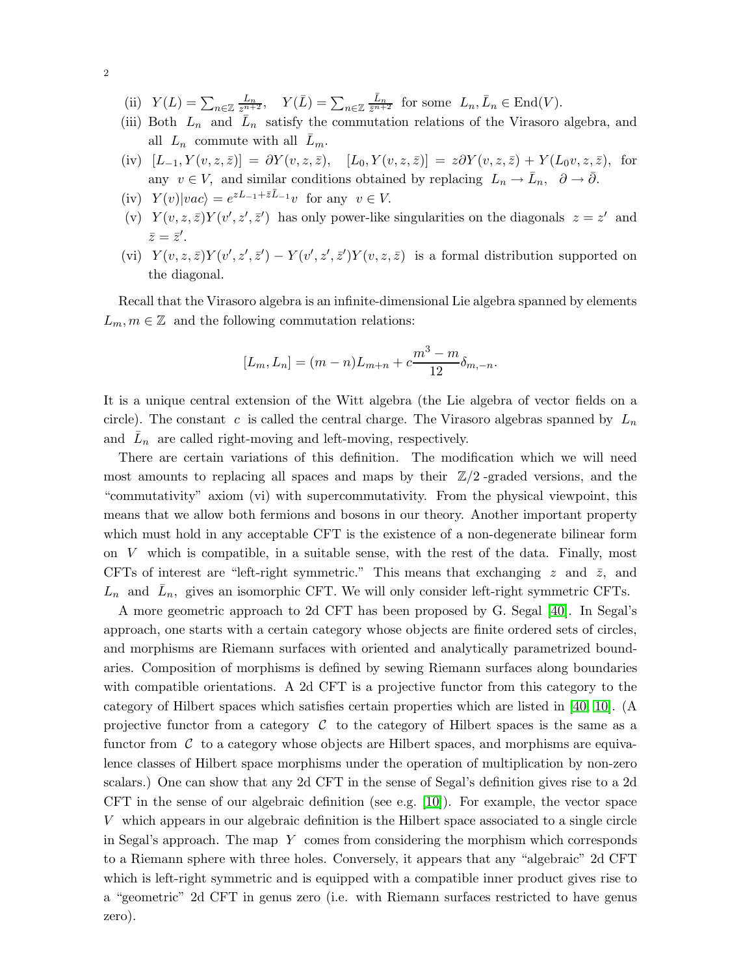- (ii)  $Y(L) = \sum_{n \in \mathbb{Z}} \frac{L_n}{z^{n+2}}$ ,  $Y(\overline{L}) = \sum_{n \in \mathbb{Z}} \frac{\overline{L}_n}{\overline{z}^{n+2}}$  for some  $L_n, \overline{L}_n \in \text{End}(V)$ .
- (iii) Both  $L_n$  and  $\bar{L}_n$  satisfy the commutation relations of the Virasoro algebra, and all  $L_n$  commute with all  $L_m$ .
- (iv)  $[L_{-1}, Y(v, z, \bar{z})] = \partial Y(v, z, \bar{z}), \quad [L_0, Y(v, z, \bar{z})] = z \partial Y(v, z, \bar{z}) + Y(L_0 v, z, \bar{z}),$  for any  $v \in V$ , and similar conditions obtained by replacing  $L_n \to \bar{L}_n$ ,  $\partial \to \bar{\partial}$ .
- (iv)  $Y(v)|vac\rangle = e^{zL_{-1} + \bar{z}\bar{L}_{-1}}v$  for any  $v \in V$ .
- (v)  $Y(v, z, \bar{z})Y(v', z', \bar{z}')$  has only power-like singularities on the diagonals  $z = z'$  and  $\bar{z}=\bar{z}'$ .
- (vi)  $Y(v, z, \bar{z})Y(v', z', \bar{z}') Y(v', z', \bar{z}')Y(v, z, \bar{z})$  is a formal distribution supported on the diagonal.

Recall that the Virasoro algebra is an infinite-dimensional Lie algebra spanned by elements  $L_m, m \in \mathbb{Z}$  and the following commutation relations:

$$
[L_m, L_n] = (m - n)L_{m+n} + c\frac{m^3 - m}{12}\delta_{m, -n}.
$$

It is a unique central extension of the Witt algebra (the Lie algebra of vector fields on a circle). The constant c is called the central charge. The Virasoro algebras spanned by  $L_n$ and  $\bar{L}_n$  are called right-moving and left-moving, respectively.

There are certain variations of this definition. The modification which we will need most amounts to replacing all spaces and maps by their  $\mathbb{Z}/2$ -graded versions, and the "commutativity" axiom (vi) with supercommutativity. From the physical viewpoint, this means that we allow both fermions and bosons in our theory. Another important property which must hold in any acceptable CFT is the existence of a non-degenerate bilinear form on  $V$  which is compatible, in a suitable sense, with the rest of the data. Finally, most CFTs of interest are "left-right symmetric." This means that exchanging z and  $\bar{z}$ , and  $L_n$  and  $\bar{L}_n$ , gives an isomorphic CFT. We will only consider left-right symmetric CFTs.

A more geometric approach to 2d CFT has been proposed by G. Segal [\[40\]](#page-31-1). In Segal's approach, one starts with a certain category whose objects are finite ordered sets of circles, and morphisms are Riemann surfaces with oriented and analytically parametrized boundaries. Composition of morphisms is defined by sewing Riemann surfaces along boundaries with compatible orientations. A 2d CFT is a projective functor from this category to the category of Hilbert spaces which satisfies certain properties which are listed in [\[40,](#page-31-1) [10\]](#page-29-0). (A projective functor from a category  $\mathcal C$  to the category of Hilbert spaces is the same as a functor from  $\mathcal C$  to a category whose objects are Hilbert spaces, and morphisms are equivalence classes of Hilbert space morphisms under the operation of multiplication by non-zero scalars.) One can show that any 2d CFT in the sense of Segal's definition gives rise to a 2d CFT in the sense of our algebraic definition (see e.g. [\[10\]](#page-29-0)). For example, the vector space V which appears in our algebraic definition is the Hilbert space associated to a single circle in Segal's approach. The map Y comes from considering the morphism which corresponds to a Riemann sphere with three holes. Conversely, it appears that any "algebraic" 2d CFT which is left-right symmetric and is equipped with a compatible inner product gives rise to a "geometric" 2d CFT in genus zero (i.e. with Riemann surfaces restricted to have genus zero).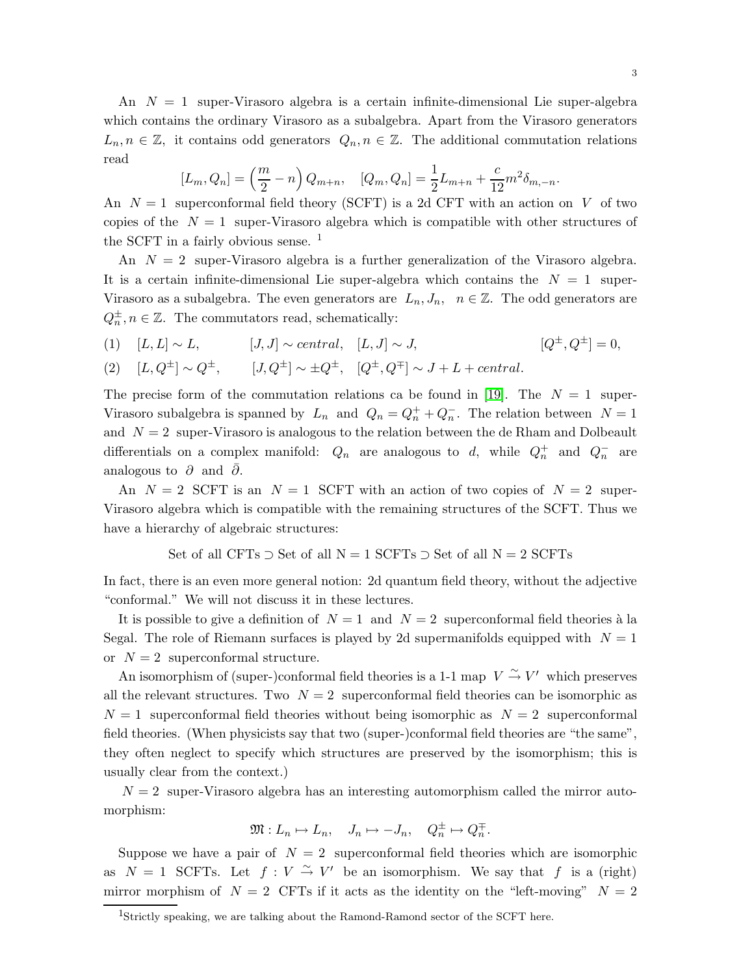An  $N = 1$  super-Virasoro algebra is a certain infinite-dimensional Lie super-algebra which contains the ordinary Virasoro as a subalgebra. Apart from the Virasoro generators  $L_n, n \in \mathbb{Z}$ , it contains odd generators  $Q_n, n \in \mathbb{Z}$ . The additional commutation relations read

$$
[L_m, Q_n] = \left(\frac{m}{2} - n\right) Q_{m+n}, \quad [Q_m, Q_n] = \frac{1}{2} L_{m+n} + \frac{c}{12} m^2 \delta_{m,-n}.
$$

An  $N = 1$  superconformal field theory (SCFT) is a 2d CFT with an action on V of two copies of the  $N = 1$  super-Virasoro algebra which is compatible with other structures of the SCFT in a fairly obvious sense.  $<sup>1</sup>$ </sup>

An  $N = 2$  super-Virasoro algebra is a further generalization of the Virasoro algebra. It is a certain infinite-dimensional Lie super-algebra which contains the  $N = 1$  super-Virasoro as a subalgebra. The even generators are  $L_n, J_n, n \in \mathbb{Z}$ . The odd generators are  $Q_n^{\pm}, n \in \mathbb{Z}$ . The commutators read, schematically:

(1)  $[L, L] \sim L$ ,  $[J, J] \sim central$ ,  $[L, J] \sim J$ ,  $[Q^{\pm}, Q^{\pm}] = 0$ ,

(2) 
$$
[L, Q^{\pm}] \sim Q^{\pm}
$$
,  $[J, Q^{\pm}] \sim \pm Q^{\pm}$ ,  $[Q^{\pm}, Q^{\mp}] \sim J + L + central$ .

The precise form of the commutation relations ca be found in [\[19\]](#page-30-1). The  $N = 1$  super-Virasoro subalgebra is spanned by  $L_n$  and  $Q_n = Q_n^+ + Q_n^-$ . The relation between  $N = 1$ and  $N = 2$  super-Virasoro is analogous to the relation between the de Rham and Dolbeault differentials on a complex manifold:  $Q_n$  are analogous to d, while  $Q_n^+$  and  $Q_n^-$  are analogous to  $\partial$  and  $\partial$ .

An  $N = 2$  SCFT is an  $N = 1$  SCFT with an action of two copies of  $N = 2$  super-Virasoro algebra which is compatible with the remaining structures of the SCFT. Thus we have a hierarchy of algebraic structures:

Set of all CFTs  $\supset$  Set of all N = 1 SCFTs  $\supset$  Set of all N = 2 SCFTs

In fact, there is an even more general notion: 2d quantum field theory, without the adjective "conformal." We will not discuss it in these lectures.

It is possible to give a definition of  $N = 1$  and  $N = 2$  superconformal field theories à la Segal. The role of Riemann surfaces is played by 2d supermanifolds equipped with  $N = 1$ or  $N = 2$  superconformal structure.

An isomorphism of (super-)conformal field theories is a 1-1 map  $V \xrightarrow{\sim} V'$  which preserves all the relevant structures. Two  $N = 2$  superconformal field theories can be isomorphic as  $N = 1$  superconformal field theories without being isomorphic as  $N = 2$  superconformal field theories. (When physicists say that two (super-)conformal field theories are "the same", they often neglect to specify which structures are preserved by the isomorphism; this is usually clear from the context.)

 $N = 2$  super-Virasoro algebra has an interesting automorphism called the mirror automorphism:

$$
\mathfrak{M}: L_n \mapsto L_n, \quad J_n \mapsto -J_n, \quad Q_n^{\pm} \mapsto Q_n^{\mp}.
$$

Suppose we have a pair of  $N = 2$  superconformal field theories which are isomorphic as  $N = 1$  SCFTs. Let  $f: V \stackrel{\sim}{\rightarrow} V'$  be an isomorphism. We say that f is a (right) mirror morphism of  $N = 2$  CFTs if it acts as the identity on the "left-moving"  $N = 2$ 

<sup>1</sup>Strictly speaking, we are talking about the Ramond-Ramond sector of the SCFT here.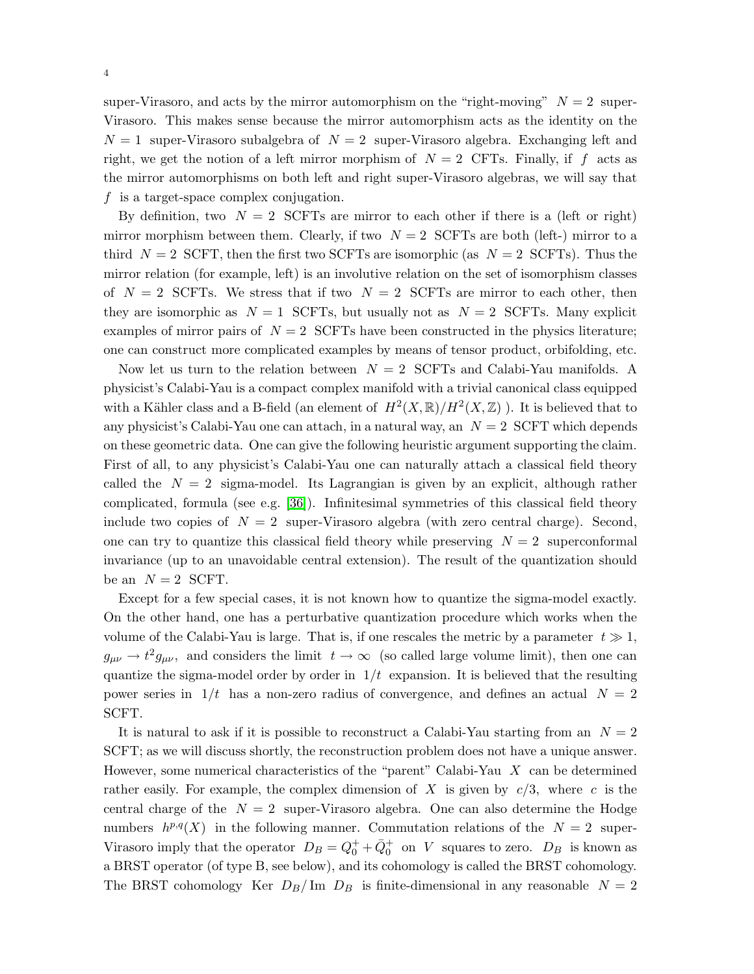super-Virasoro, and acts by the mirror automorphism on the "right-moving"  $N = 2$  super-Virasoro. This makes sense because the mirror automorphism acts as the identity on the  $N = 1$  super-Virasoro subalgebra of  $N = 2$  super-Virasoro algebra. Exchanging left and right, we get the notion of a left mirror morphism of  $N = 2$  CFTs. Finally, if f acts as the mirror automorphisms on both left and right super-Virasoro algebras, we will say that f is a target-space complex conjugation.

By definition, two  $N = 2$  SCFTs are mirror to each other if there is a (left or right) mirror morphism between them. Clearly, if two  $N = 2$  SCFTs are both (left-) mirror to a third  $N = 2$  SCFT, then the first two SCFTs are isomorphic (as  $N = 2$  SCFTs). Thus the mirror relation (for example, left) is an involutive relation on the set of isomorphism classes of  $N = 2$  SCFTs. We stress that if two  $N = 2$  SCFTs are mirror to each other, then they are isomorphic as  $N = 1$  SCFTs, but usually not as  $N = 2$  SCFTs. Many explicit examples of mirror pairs of  $N = 2$  SCFTs have been constructed in the physics literature; one can construct more complicated examples by means of tensor product, orbifolding, etc.

Now let us turn to the relation between  $N = 2$  SCFTs and Calabi-Yau manifolds. A physicist's Calabi-Yau is a compact complex manifold with a trivial canonical class equipped with a Kähler class and a B-field (an element of  $H^2(X,\mathbb{R})/H^2(X,\mathbb{Z})$ ). It is believed that to any physicist's Calabi-Yau one can attach, in a natural way, an  $N = 2$  SCFT which depends on these geometric data. One can give the following heuristic argument supporting the claim. First of all, to any physicist's Calabi-Yau one can naturally attach a classical field theory called the  $N = 2$  sigma-model. Its Lagrangian is given by an explicit, although rather complicated, formula (see e.g. [\[36\]](#page-30-2)). Infinitesimal symmetries of this classical field theory include two copies of  $N = 2$  super-Virasoro algebra (with zero central charge). Second, one can try to quantize this classical field theory while preserving  $N = 2$  superconformal invariance (up to an unavoidable central extension). The result of the quantization should be an  $N = 2$  SCFT.

Except for a few special cases, it is not known how to quantize the sigma-model exactly. On the other hand, one has a perturbative quantization procedure which works when the volume of the Calabi-Yau is large. That is, if one rescales the metric by a parameter  $t \gg 1$ ,  $g_{\mu\nu} \to t^2 g_{\mu\nu}$ , and considers the limit  $t \to \infty$  (so called large volume limit), then one can quantize the sigma-model order by order in  $1/t$  expansion. It is believed that the resulting power series in  $1/t$  has a non-zero radius of convergence, and defines an actual  $N = 2$ SCFT.

It is natural to ask if it is possible to reconstruct a Calabi-Yau starting from an  $N = 2$ SCFT; as we will discuss shortly, the reconstruction problem does not have a unique answer. However, some numerical characteristics of the "parent" Calabi-Yau  $X$  can be determined rather easily. For example, the complex dimension of X is given by  $c/3$ , where c is the central charge of the  $N = 2$  super-Virasoro algebra. One can also determine the Hodge numbers  $h^{p,q}(X)$  in the following manner. Commutation relations of the  $N=2$  super-Virasoro imply that the operator  $D_B = Q_0^+ + \bar{Q}_0^+$  on V squares to zero.  $D_B$  is known as a BRST operator (of type B, see below), and its cohomology is called the BRST cohomology. The BRST cohomology Ker  $D_B/\text{Im } D_B$  is finite-dimensional in any reasonable  $N = 2$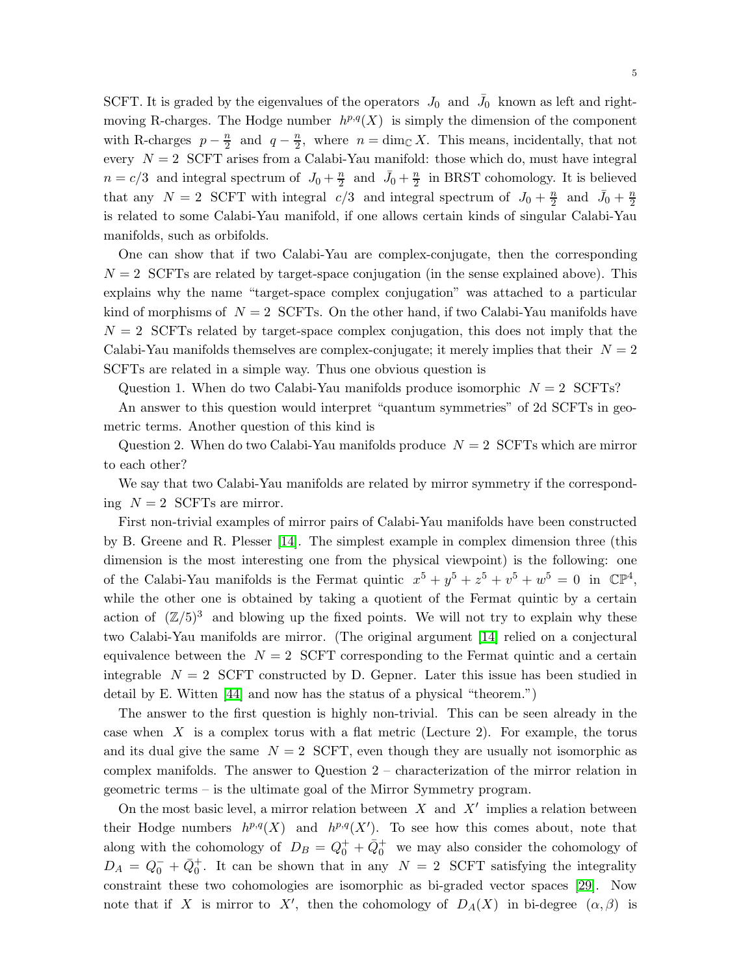SCFT. It is graded by the eigenvalues of the operators  $J_0$  and  $\bar{J}_0$  known as left and rightmoving R-charges. The Hodge number  $h^{p,q}(X)$  is simply the dimension of the component with R-charges  $p - \frac{n}{2}$  $\frac{n}{2}$  and  $q - \frac{n}{2}$  $\frac{n}{2}$ , where  $n = \dim_{\mathbb{C}} X$ . This means, incidentally, that not every  $N = 2$  SCFT arises from a Calabi-Yau manifold: those which do, must have integral  $n = c/3$  and integral spectrum of  $J_0 + \frac{n}{2}$  $\frac{n}{2}$  and  $\bar{J}_0 + \frac{n}{2}$  $\frac{n}{2}$  in BRST cohomology. It is believed that any  $N = 2$  SCFT with integral  $c/3$  and integral spectrum of  $J_0 + \frac{n}{2}$  $\frac{n}{2}$  and  $\bar{J}_0 + \frac{n}{2}$ 2 is related to some Calabi-Yau manifold, if one allows certain kinds of singular Calabi-Yau manifolds, such as orbifolds.

One can show that if two Calabi-Yau are complex-conjugate, then the corresponding  $N = 2$  SCFTs are related by target-space conjugation (in the sense explained above). This explains why the name "target-space complex conjugation" was attached to a particular kind of morphisms of  $N = 2$  SCFTs. On the other hand, if two Calabi-Yau manifolds have  $N = 2$  SCFTs related by target-space complex conjugation, this does not imply that the Calabi-Yau manifolds themselves are complex-conjugate; it merely implies that their  $N = 2$ SCFTs are related in a simple way. Thus one obvious question is

Question 1. When do two Calabi-Yau manifolds produce isomorphic  $N = 2$  SCFTs?

An answer to this question would interpret "quantum symmetries" of 2d SCFTs in geometric terms. Another question of this kind is

Question 2. When do two Calabi-Yau manifolds produce  $N = 2$  SCFTs which are mirror to each other?

We say that two Calabi-Yau manifolds are related by mirror symmetry if the corresponding  $N = 2$  SCFTs are mirror.

First non-trivial examples of mirror pairs of Calabi-Yau manifolds have been constructed by B. Greene and R. Plesser [\[14\]](#page-30-3). The simplest example in complex dimension three (this dimension is the most interesting one from the physical viewpoint) is the following: one of the Calabi-Yau manifolds is the Fermat quintic  $x^5 + y^5 + z^5 + v^5 + w^5 = 0$  in  $\mathbb{CP}^4$ , while the other one is obtained by taking a quotient of the Fermat quintic by a certain action of  $(\mathbb{Z}/5)^3$  and blowing up the fixed points. We will not try to explain why these two Calabi-Yau manifolds are mirror. (The original argument [\[14\]](#page-30-3) relied on a conjectural equivalence between the  $N = 2$  SCFT corresponding to the Fermat quintic and a certain integrable  $N = 2$  SCFT constructed by D. Gepner. Later this issue has been studied in detail by E. Witten [\[44\]](#page-31-2) and now has the status of a physical "theorem.")

The answer to the first question is highly non-trivial. This can be seen already in the case when  $X$  is a complex torus with a flat metric (Lecture 2). For example, the torus and its dual give the same  $N = 2$  SCFT, even though they are usually not isomorphic as complex manifolds. The answer to Question 2 – characterization of the mirror relation in geometric terms – is the ultimate goal of the Mirror Symmetry program.

On the most basic level, a mirror relation between  $X$  and  $X'$  implies a relation between their Hodge numbers  $h^{p,q}(X)$  and  $h^{p,q}(X')$ . To see how this comes about, note that along with the cohomology of  $D_B = Q_0^+ + \bar{Q}_0^+$  we may also consider the cohomology of  $D_A = Q_0^- + \bar{Q}_0^+$ . It can be shown that in any  $N = 2$  SCFT satisfying the integrality constraint these two cohomologies are isomorphic as bi-graded vector spaces [\[29\]](#page-30-4). Now note that if X is mirror to X', then the cohomology of  $D_A(X)$  in bi-degree  $(\alpha, \beta)$  is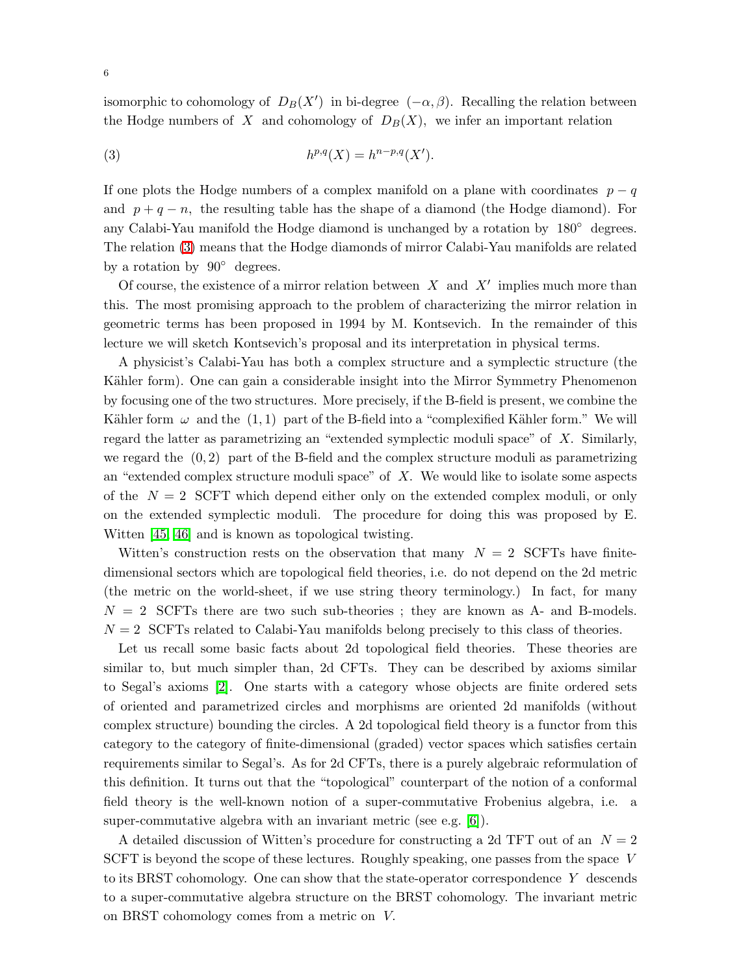<span id="page-5-0"></span>isomorphic to cohomology of  $D_B(X')$  in bi-degree  $(-\alpha, \beta)$ . Recalling the relation between the Hodge numbers of X and cohomology of  $D_B(X)$ , we infer an important relation

$$
(3) \t\t\t h^{p,q}(X) = h^{n-p,q}(X').
$$

If one plots the Hodge numbers of a complex manifold on a plane with coordinates  $p - q$ and  $p + q - n$ , the resulting table has the shape of a diamond (the Hodge diamond). For any Calabi-Yau manifold the Hodge diamond is unchanged by a rotation by 180◦ degrees. The relation [\(3\)](#page-5-0) means that the Hodge diamonds of mirror Calabi-Yau manifolds are related by a rotation by  $90^{\circ}$  degrees.

Of course, the existence of a mirror relation between  $X$  and  $X'$  implies much more than this. The most promising approach to the problem of characterizing the mirror relation in geometric terms has been proposed in 1994 by M. Kontsevich. In the remainder of this lecture we will sketch Kontsevich's proposal and its interpretation in physical terms.

A physicist's Calabi-Yau has both a complex structure and a symplectic structure (the Kähler form). One can gain a considerable insight into the Mirror Symmetry Phenomenon by focusing one of the two structures. More precisely, if the B-field is present, we combine the Kähler form  $\omega$  and the (1, 1) part of the B-field into a "complexified Kähler form." We will regard the latter as parametrizing an "extended symplectic moduli space" of X. Similarly, we regard the  $(0, 2)$  part of the B-field and the complex structure moduli as parametrizing an "extended complex structure moduli space" of  $X$ . We would like to isolate some aspects of the  $N = 2$  SCFT which depend either only on the extended complex moduli, or only on the extended symplectic moduli. The procedure for doing this was proposed by E. Witten [\[45,](#page-31-3) [46\]](#page-31-4) and is known as topological twisting.

Witten's construction rests on the observation that many  $N = 2$  SCFTs have finitedimensional sectors which are topological field theories, i.e. do not depend on the 2d metric (the metric on the world-sheet, if we use string theory terminology.) In fact, for many  $N = 2$  SCFTs there are two such sub-theories; they are known as A- and B-models.  $N = 2$  SCFTs related to Calabi-Yau manifolds belong precisely to this class of theories.

Let us recall some basic facts about 2d topological field theories. These theories are similar to, but much simpler than, 2d CFTs. They can be described by axioms similar to Segal's axioms [\[2\]](#page-29-1). One starts with a category whose objects are finite ordered sets of oriented and parametrized circles and morphisms are oriented 2d manifolds (without complex structure) bounding the circles. A 2d topological field theory is a functor from this category to the category of finite-dimensional (graded) vector spaces which satisfies certain requirements similar to Segal's. As for 2d CFTs, there is a purely algebraic reformulation of this definition. It turns out that the "topological" counterpart of the notion of a conformal field theory is the well-known notion of a super-commutative Frobenius algebra, i.e. a super-commutative algebra with an invariant metric (see e.g. [\[6\]](#page-29-2)).

A detailed discussion of Witten's procedure for constructing a 2d TFT out of an  $N = 2$ SCFT is beyond the scope of these lectures. Roughly speaking, one passes from the space V to its BRST cohomology. One can show that the state-operator correspondence Y descends to a super-commutative algebra structure on the BRST cohomology. The invariant metric on BRST cohomology comes from a metric on V.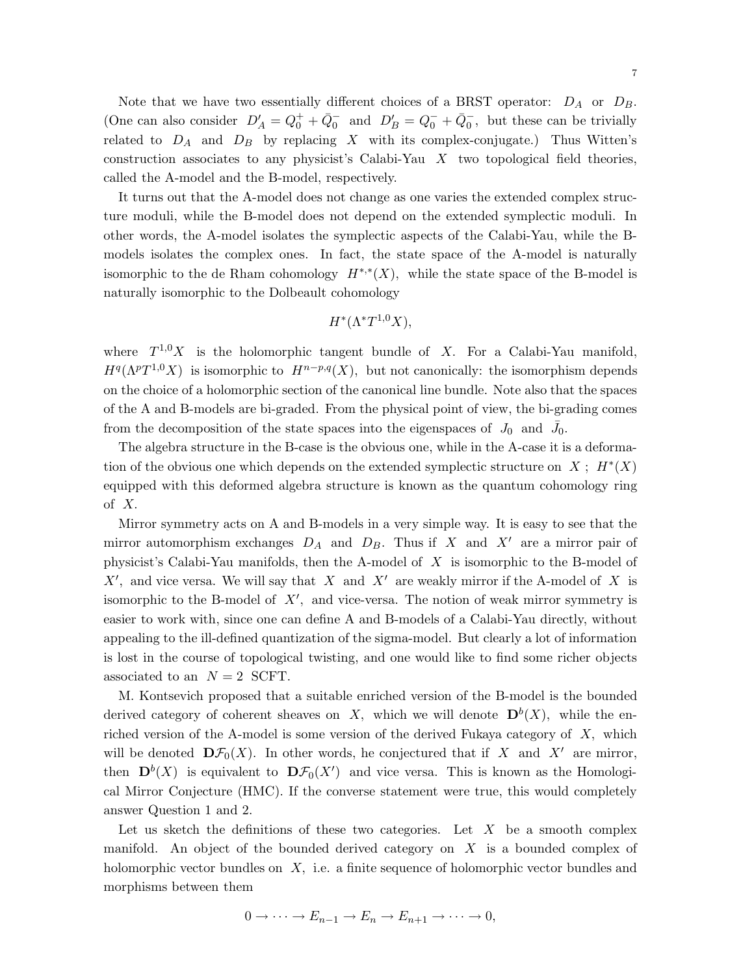It turns out that the A-model does not change as one varies the extended complex structure moduli, while the B-model does not depend on the extended symplectic moduli. In other words, the A-model isolates the symplectic aspects of the Calabi-Yau, while the Bmodels isolates the complex ones. In fact, the state space of the A-model is naturally isomorphic to the de Rham cohomology  $H^{*,*}(X)$ , while the state space of the B-model is naturally isomorphic to the Dolbeault cohomology

construction associates to any physicist's Calabi-Yau X two topological field theories,

called the A-model and the B-model, respectively.

$$
H^*(\Lambda^*T^{1,0}X),
$$

where  $T^{1,0}X$  is the holomorphic tangent bundle of X. For a Calabi-Yau manifold,  $H^q(\Lambda^pT^{1,0}X)$  is isomorphic to  $H^{n-p,q}(X)$ , but not canonically: the isomorphism depends on the choice of a holomorphic section of the canonical line bundle. Note also that the spaces of the A and B-models are bi-graded. From the physical point of view, the bi-grading comes from the decomposition of the state spaces into the eigenspaces of  $J_0$  and  $\bar{J}_0$ .

The algebra structure in the B-case is the obvious one, while in the A-case it is a deformation of the obvious one which depends on the extended symplectic structure on  $X$ ;  $H^*(X)$ equipped with this deformed algebra structure is known as the quantum cohomology ring of X.

Mirror symmetry acts on A and B-models in a very simple way. It is easy to see that the mirror automorphism exchanges  $D_A$  and  $D_B$ . Thus if X and X' are a mirror pair of physicist's Calabi-Yau manifolds, then the A-model of  $X$  is isomorphic to the B-model of  $X'$ , and vice versa. We will say that X and X' are weakly mirror if the A-model of X is isomorphic to the B-model of  $X'$ , and vice-versa. The notion of weak mirror symmetry is easier to work with, since one can define A and B-models of a Calabi-Yau directly, without appealing to the ill-defined quantization of the sigma-model. But clearly a lot of information is lost in the course of topological twisting, and one would like to find some richer objects associated to an  $N = 2$  SCFT.

M. Kontsevich proposed that a suitable enriched version of the B-model is the bounded derived category of coherent sheaves on X, which we will denote  $D^{b}(X)$ , while the enriched version of the A-model is some version of the derived Fukaya category of X, which will be denoted  $\mathbf{D}\mathcal{F}_0(X)$ . In other words, he conjectured that if X and X' are mirror, then  $\mathbf{D}^{b}(X)$  is equivalent to  $\mathbf{D}\mathcal{F}_0(X')$  and vice versa. This is known as the Homological Mirror Conjecture (HMC). If the converse statement were true, this would completely answer Question 1 and 2.

Let us sketch the definitions of these two categories. Let  $X$  be a smooth complex manifold. An object of the bounded derived category on  $X$  is a bounded complex of holomorphic vector bundles on X, i.e. a finite sequence of holomorphic vector bundles and morphisms between them

$$
^{7}
$$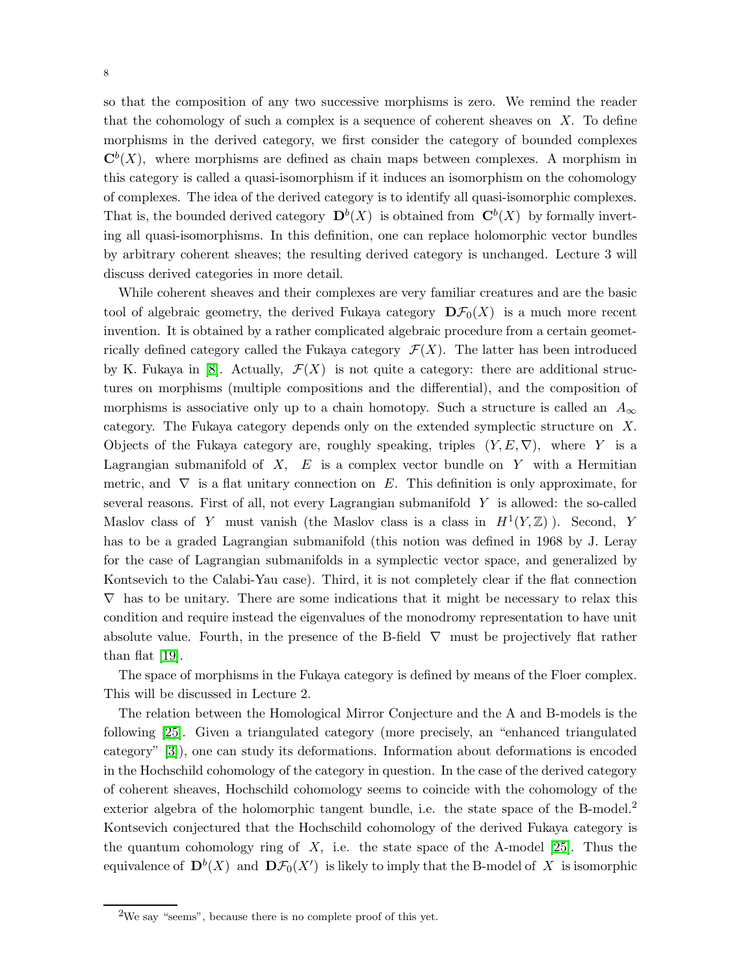so that the composition of any two successive morphisms is zero. We remind the reader that the cohomology of such a complex is a sequence of coherent sheaves on  $X$ . To define morphisms in the derived category, we first consider the category of bounded complexes  $\mathbf{C}^{b}(X)$ , where morphisms are defined as chain maps between complexes. A morphism in this category is called a quasi-isomorphism if it induces an isomorphism on the cohomology of complexes. The idea of the derived category is to identify all quasi-isomorphic complexes. That is, the bounded derived category  $\mathbf{D}^b(X)$  is obtained from  $\mathbf{C}^b(X)$  by formally inverting all quasi-isomorphisms. In this definition, one can replace holomorphic vector bundles by arbitrary coherent sheaves; the resulting derived category is unchanged. Lecture 3 will discuss derived categories in more detail.

While coherent sheaves and their complexes are very familiar creatures and are the basic tool of algebraic geometry, the derived Fukaya category  $\mathbf{D}\mathcal{F}_0(X)$  is a much more recent invention. It is obtained by a rather complicated algebraic procedure from a certain geometrically defined category called the Fukaya category  $\mathcal{F}(X)$ . The latter has been introduced by K. Fukaya in [\[8\]](#page-29-3). Actually,  $\mathcal{F}(X)$  is not quite a category: there are additional structures on morphisms (multiple compositions and the differential), and the composition of morphisms is associative only up to a chain homotopy. Such a structure is called an  $A_{\infty}$ category. The Fukaya category depends only on the extended symplectic structure on X. Objects of the Fukaya category are, roughly speaking, triples  $(Y, E, \nabla)$ , where Y is a Lagrangian submanifold of  $X$ ,  $E$  is a complex vector bundle on Y with a Hermitian metric, and  $\nabla$  is a flat unitary connection on E. This definition is only approximate, for several reasons. First of all, not every Lagrangian submanifold Y is allowed: the so-called Maslov class of Y must vanish (the Maslov class is a class in  $H^1(Y,\mathbb{Z})$ ). Second, Y has to be a graded Lagrangian submanifold (this notion was defined in 1968 by J. Leray for the case of Lagrangian submanifolds in a symplectic vector space, and generalized by Kontsevich to the Calabi-Yau case). Third, it is not completely clear if the flat connection  $\nabla$  has to be unitary. There are some indications that it might be necessary to relax this condition and require instead the eigenvalues of the monodromy representation to have unit absolute value. Fourth, in the presence of the B-field  $\nabla$  must be projectively flat rather than flat [\[19\]](#page-30-1).

The space of morphisms in the Fukaya category is defined by means of the Floer complex. This will be discussed in Lecture 2.

The relation between the Homological Mirror Conjecture and the A and B-models is the following [\[25\]](#page-30-0). Given a triangulated category (more precisely, an "enhanced triangulated category" [\[3\]](#page-29-4)), one can study its deformations. Information about deformations is encoded in the Hochschild cohomology of the category in question. In the case of the derived category of coherent sheaves, Hochschild cohomology seems to coincide with the cohomology of the exterior algebra of the holomorphic tangent bundle, i.e. the state space of the B-model.<sup>2</sup> Kontsevich conjectured that the Hochschild cohomology of the derived Fukaya category is the quantum cohomology ring of  $X$ , i.e. the state space of the A-model [\[25\]](#page-30-0). Thus the equivalence of  $\mathbf{D}^{b}(X)$  and  $\mathbf{D}\mathcal{F}_{0}(X')$  is likely to imply that the B-model of X is isomorphic

8

 $2W$ e say "seems", because there is no complete proof of this yet.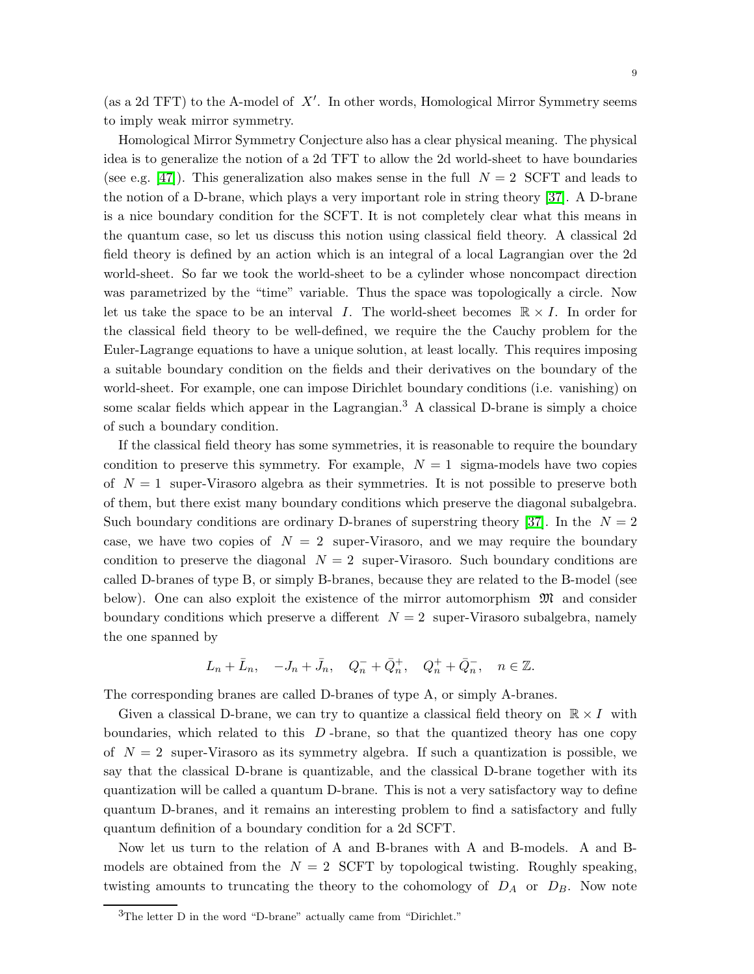(as a 2d TFT) to the A-model of  $X'$ . In other words, Homological Mirror Symmetry seems to imply weak mirror symmetry.

Homological Mirror Symmetry Conjecture also has a clear physical meaning. The physical idea is to generalize the notion of a 2d TFT to allow the 2d world-sheet to have boundaries (see e.g. [\[47\]](#page-31-5)). This generalization also makes sense in the full  $N = 2$  SCFT and leads to the notion of a D-brane, which plays a very important role in string theory [\[37\]](#page-30-5). A D-brane is a nice boundary condition for the SCFT. It is not completely clear what this means in the quantum case, so let us discuss this notion using classical field theory. A classical 2d field theory is defined by an action which is an integral of a local Lagrangian over the 2d world-sheet. So far we took the world-sheet to be a cylinder whose noncompact direction was parametrized by the "time" variable. Thus the space was topologically a circle. Now let us take the space to be an interval I. The world-sheet becomes  $\mathbb{R} \times I$ . In order for the classical field theory to be well-defined, we require the the Cauchy problem for the Euler-Lagrange equations to have a unique solution, at least locally. This requires imposing a suitable boundary condition on the fields and their derivatives on the boundary of the world-sheet. For example, one can impose Dirichlet boundary conditions (i.e. vanishing) on some scalar fields which appear in the Lagrangian.<sup>3</sup> A classical D-brane is simply a choice of such a boundary condition.

If the classical field theory has some symmetries, it is reasonable to require the boundary condition to preserve this symmetry. For example,  $N = 1$  sigma-models have two copies of  $N = 1$  super-Virasoro algebra as their symmetries. It is not possible to preserve both of them, but there exist many boundary conditions which preserve the diagonal subalgebra. Such boundary conditions are ordinary D-branes of superstring theory [\[37\]](#page-30-5). In the  $N = 2$ case, we have two copies of  $N = 2$  super-Virasoro, and we may require the boundary condition to preserve the diagonal  $N = 2$  super-Virasoro. Such boundary conditions are called D-branes of type B, or simply B-branes, because they are related to the B-model (see below). One can also exploit the existence of the mirror automorphism  $\mathfrak{M}$  and consider boundary conditions which preserve a different  $N = 2$  super-Virasoro subalgebra, namely the one spanned by

$$
L_n+\bar L_n,\quad -J_n+\bar J_n,\quad Q_n^-+\bar Q_n^+,\quad Q_n^++\bar Q_n^-,\quad n\in\mathbb{Z}.
$$

The corresponding branes are called D-branes of type A, or simply A-branes.

Given a classical D-brane, we can try to quantize a classical field theory on  $\mathbb{R} \times I$  with boundaries, which related to this  $D$ -brane, so that the quantized theory has one copy of  $N = 2$  super-Virasoro as its symmetry algebra. If such a quantization is possible, we say that the classical D-brane is quantizable, and the classical D-brane together with its quantization will be called a quantum D-brane. This is not a very satisfactory way to define quantum D-branes, and it remains an interesting problem to find a satisfactory and fully quantum definition of a boundary condition for a 2d SCFT.

Now let us turn to the relation of A and B-branes with A and B-models. A and Bmodels are obtained from the  $N = 2$  SCFT by topological twisting. Roughly speaking, twisting amounts to truncating the theory to the cohomology of  $D_A$  or  $D_B$ . Now note

 $3$ The letter D in the word "D-brane" actually came from "Dirichlet."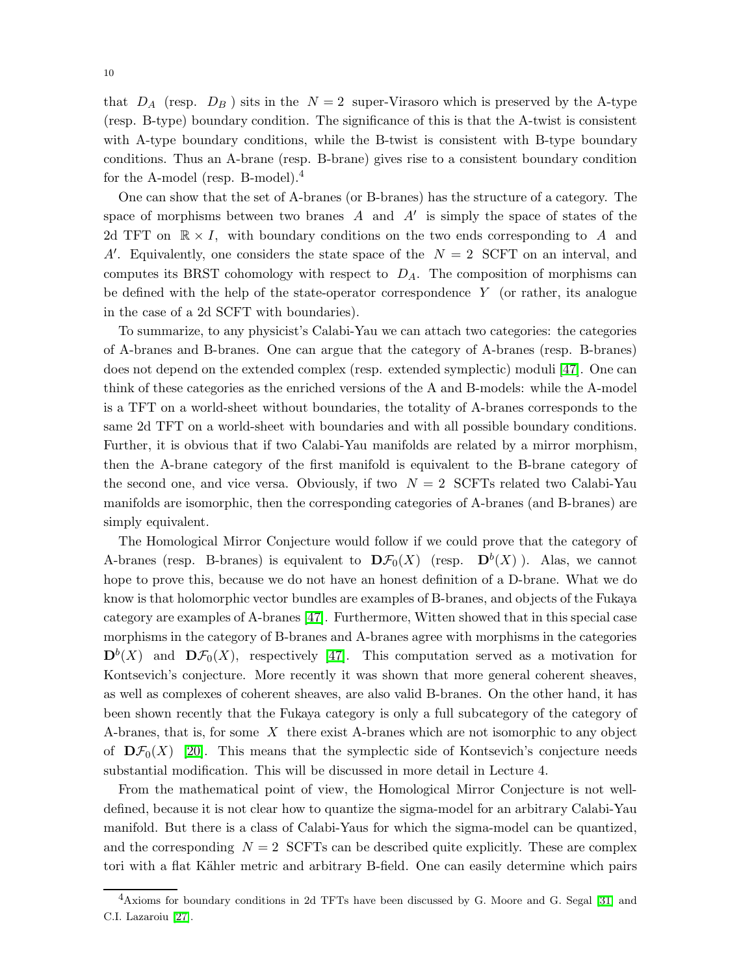that  $D_A$  (resp.  $D_B$ ) sits in the  $N = 2$  super-Virasoro which is preserved by the A-type (resp. B-type) boundary condition. The significance of this is that the A-twist is consistent with A-type boundary conditions, while the B-twist is consistent with B-type boundary conditions. Thus an A-brane (resp. B-brane) gives rise to a consistent boundary condition for the A-model (resp. B-model).<sup>4</sup>

One can show that the set of A-branes (or B-branes) has the structure of a category. The space of morphisms between two branes  $A$  and  $A'$  is simply the space of states of the 2d TFT on  $\mathbb{R} \times I$ , with boundary conditions on the two ends corresponding to A and A'. Equivalently, one considers the state space of the  $N = 2$  SCFT on an interval, and computes its BRST cohomology with respect to  $D_A$ . The composition of morphisms can be defined with the help of the state-operator correspondence  $Y$  (or rather, its analogue in the case of a 2d SCFT with boundaries).

To summarize, to any physicist's Calabi-Yau we can attach two categories: the categories of A-branes and B-branes. One can argue that the category of A-branes (resp. B-branes) does not depend on the extended complex (resp. extended symplectic) moduli [\[47\]](#page-31-5). One can think of these categories as the enriched versions of the A and B-models: while the A-model is a TFT on a world-sheet without boundaries, the totality of A-branes corresponds to the same 2d TFT on a world-sheet with boundaries and with all possible boundary conditions. Further, it is obvious that if two Calabi-Yau manifolds are related by a mirror morphism, then the A-brane category of the first manifold is equivalent to the B-brane category of the second one, and vice versa. Obviously, if two  $N = 2$  SCFTs related two Calabi-Yau manifolds are isomorphic, then the corresponding categories of A-branes (and B-branes) are simply equivalent.

The Homological Mirror Conjecture would follow if we could prove that the category of A-branes (resp. B-branes) is equivalent to  $\mathbf{D}\mathcal{F}_0(X)$  (resp.  $\mathbf{D}^b(X)$ ). Alas, we cannot hope to prove this, because we do not have an honest definition of a D-brane. What we do know is that holomorphic vector bundles are examples of B-branes, and objects of the Fukaya category are examples of A-branes [\[47\]](#page-31-5). Furthermore, Witten showed that in this special case morphisms in the category of B-branes and A-branes agree with morphisms in the categories  $\mathbf{D}^{b}(X)$  and  $\mathbf{D}\mathcal{F}_0(X)$ , respectively [\[47\]](#page-31-5). This computation served as a motivation for Kontsevich's conjecture. More recently it was shown that more general coherent sheaves, as well as complexes of coherent sheaves, are also valid B-branes. On the other hand, it has been shown recently that the Fukaya category is only a full subcategory of the category of A-branes, that is, for some  $X$  there exist A-branes which are not isomorphic to any object of  $\mathbf{D}\mathcal{F}_0(X)$  [\[20\]](#page-30-6). This means that the symplectic side of Kontsevich's conjecture needs substantial modification. This will be discussed in more detail in Lecture 4.

From the mathematical point of view, the Homological Mirror Conjecture is not welldefined, because it is not clear how to quantize the sigma-model for an arbitrary Calabi-Yau manifold. But there is a class of Calabi-Yaus for which the sigma-model can be quantized, and the corresponding  $N = 2$  SCFTs can be described quite explicitly. These are complex tori with a flat Kähler metric and arbitrary B-field. One can easily determine which pairs

<sup>4</sup>Axioms for boundary conditions in 2d TFTs have been discussed by G. Moore and G. Segal [\[31\]](#page-30-7) and C.I. Lazaroiu [\[27\]](#page-30-8).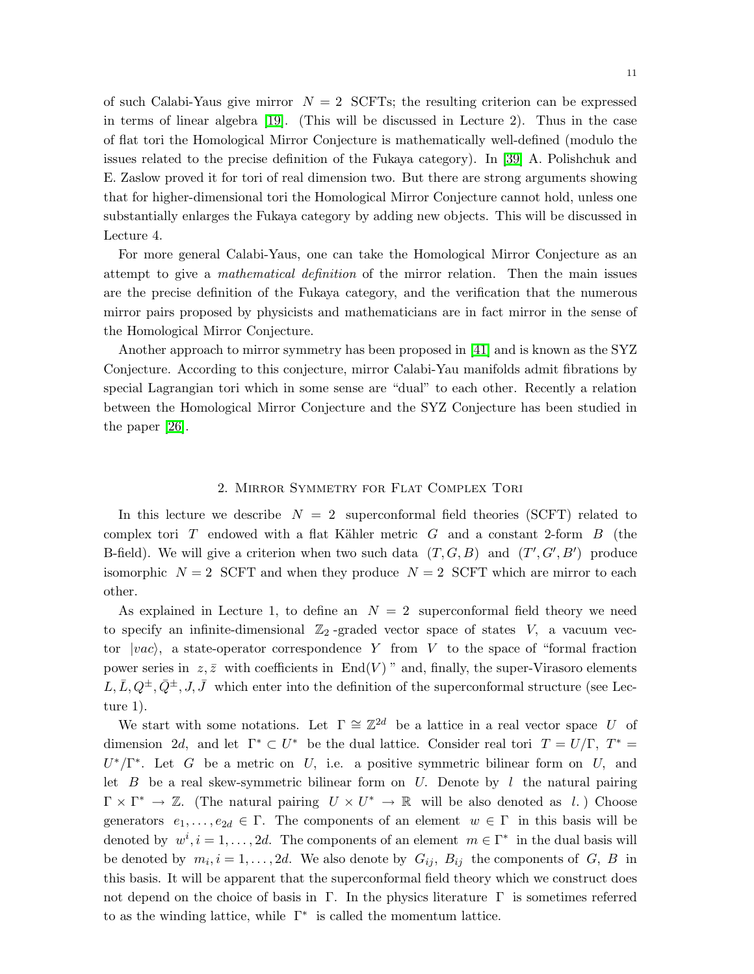of such Calabi-Yaus give mirror  $N = 2$  SCFTs; the resulting criterion can be expressed in terms of linear algebra [\[19\]](#page-30-1). (This will be discussed in Lecture 2). Thus in the case of flat tori the Homological Mirror Conjecture is mathematically well-defined (modulo the issues related to the precise definition of the Fukaya category). In [\[39\]](#page-31-6) A. Polishchuk and E. Zaslow proved it for tori of real dimension two. But there are strong arguments showing that for higher-dimensional tori the Homological Mirror Conjecture cannot hold, unless one substantially enlarges the Fukaya category by adding new objects. This will be discussed in Lecture 4.

For more general Calabi-Yaus, one can take the Homological Mirror Conjecture as an attempt to give a mathematical definition of the mirror relation. Then the main issues are the precise definition of the Fukaya category, and the verification that the numerous mirror pairs proposed by physicists and mathematicians are in fact mirror in the sense of the Homological Mirror Conjecture.

Another approach to mirror symmetry has been proposed in [\[41\]](#page-31-0) and is known as the SYZ Conjecture. According to this conjecture, mirror Calabi-Yau manifolds admit fibrations by special Lagrangian tori which in some sense are "dual" to each other. Recently a relation between the Homological Mirror Conjecture and the SYZ Conjecture has been studied in the paper [\[26\]](#page-30-9).

## 2. Mirror Symmetry for Flat Complex Tori

In this lecture we describe  $N = 2$  superconformal field theories (SCFT) related to complex tori  $T$  endowed with a flat Kähler metric  $G$  and a constant 2-form  $B$  (the B-field). We will give a criterion when two such data  $(T, G, B)$  and  $(T', G', B')$  produce isomorphic  $N = 2$  SCFT and when they produce  $N = 2$  SCFT which are mirror to each other.

As explained in Lecture 1, to define an  $N = 2$  superconformal field theory we need to specify an infinite-dimensional  $\mathbb{Z}_2$ -graded vector space of states  $V$ , a vacuum vector  $|vac\rangle$ , a state-operator correspondence Y from V to the space of "formal fraction" power series in  $z, \bar{z}$  with coefficients in End(V) " and, finally, the super-Virasoro elements  $L,\bar{L},Q^{\pm},\bar{Q}^{\pm},J,\bar{J}$  which enter into the definition of the superconformal structure (see Lecture 1).

We start with some notations. Let  $\Gamma \cong \mathbb{Z}^{2d}$  be a lattice in a real vector space U of dimension 2d, and let  $\Gamma^* \subset U^*$  be the dual lattice. Consider real tori  $T = U/\Gamma$ ,  $T^* =$  $U^*/\Gamma^*$ . Let G be a metric on U, i.e. a positive symmetric bilinear form on U, and let  $B$  be a real skew-symmetric bilinear form on U. Denote by l the natural pairing  $\Gamma \times \Gamma^* \to \mathbb{Z}$ . (The natural pairing  $U \times U^* \to \mathbb{R}$  will be also denoted as l.) Choose generators  $e_1, \ldots, e_{2d} \in \Gamma$ . The components of an element  $w \in \Gamma$  in this basis will be denoted by  $w^i$ ,  $i = 1, ..., 2d$ . The components of an element  $m \in \Gamma^*$  in the dual basis will be denoted by  $m_i$ ,  $i = 1, ..., 2d$ . We also denote by  $G_{ij}$ ,  $B_{ij}$  the components of  $G$ ,  $B$  in this basis. It will be apparent that the superconformal field theory which we construct does not depend on the choice of basis in  $\Gamma$ . In the physics literature  $\Gamma$  is sometimes referred to as the winding lattice, while  $\Gamma^*$  is called the momentum lattice.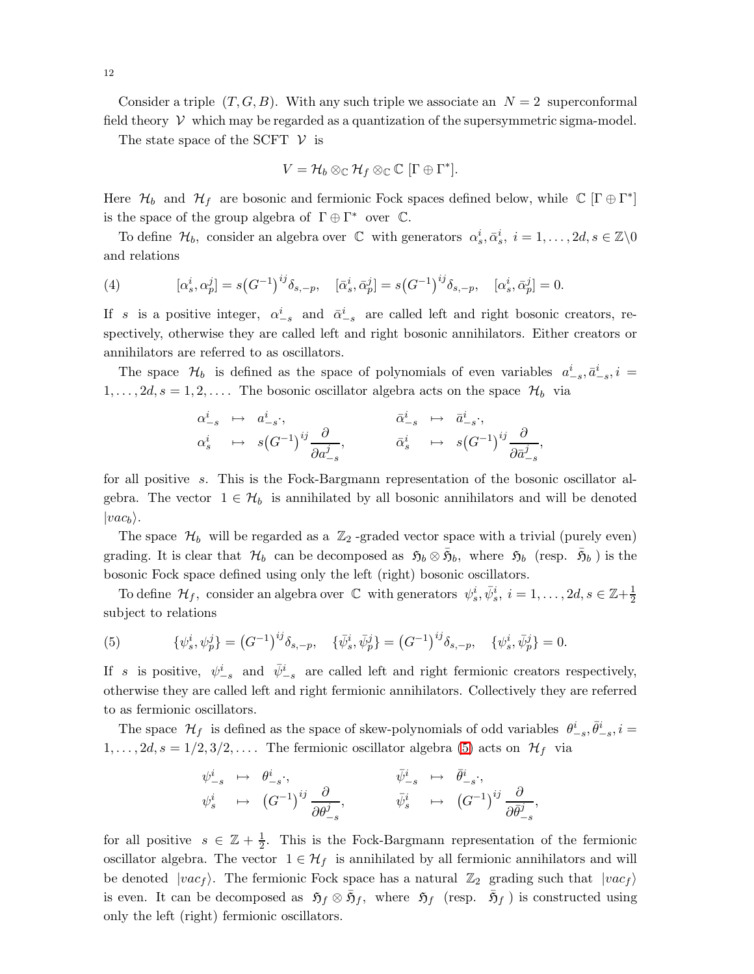Consider a triple  $(T, G, B)$ . With any such triple we associate an  $N = 2$  superconformal field theory  $V$  which may be regarded as a quantization of the supersymmetric sigma-model.

The state space of the SCFT  $\mathcal V$  is

$$
V = \mathcal{H}_b \otimes_{\mathbb{C}} \mathcal{H}_f \otimes_{\mathbb{C}} \mathbb{C} [\Gamma \oplus \Gamma^*].
$$

Here  $\mathcal{H}_b$  and  $\mathcal{H}_f$  are bosonic and fermionic Fock spaces defined below, while  $\mathbb{C}[\Gamma \oplus \Gamma^*]$ is the space of the group algebra of  $\Gamma \oplus \Gamma^*$  over  $\mathbb C$ .

To define  $\mathcal{H}_b$ , consider an algebra over  $\mathbb C$  with generators  $\alpha_s^i, \bar{\alpha}_s^i, i = 1, \ldots, 2d, s \in \mathbb Z \backslash 0$ and relations

(4) 
$$
[\alpha_s^i, \alpha_p^j] = s(G^{-1})^{ij} \delta_{s,-p}, \quad [\bar{\alpha}_s^i, \bar{\alpha}_p^j] = s(G^{-1})^{ij} \delta_{s,-p}, \quad [\alpha_s^i, \bar{\alpha}_p^j] = 0.
$$

If s is a positive integer,  $\alpha_{-s}^i$  and  $\bar{\alpha}_{-s}^i$  are called left and right bosonic creators, respectively, otherwise they are called left and right bosonic annihilators. Either creators or annihilators are referred to as oscillators.

The space  $\mathcal{H}_b$  is defined as the space of polynomials of even variables  $a_{-s}^i, \bar{a}_{-s}^i, i =$  $1,\ldots, 2d, s = 1, 2, \ldots$ . The bosonic oscillator algebra acts on the space  $\mathcal{H}_b$  via

$$
\begin{array}{cccc}\n\alpha_{-s}^i & \mapsto & a_{-s}^i, & \bar{\alpha}_{-s}^i & \mapsto & \bar{a}_{-s}^i, \\
\alpha_s^i & \mapsto & s(G^{-1})^{ij} \frac{\partial}{\partial a_{-s}^j}, & \bar{\alpha}_s^i & \mapsto & s(G^{-1})^{ij} \frac{\partial}{\partial \bar{a}_{-s}^j},\n\end{array}
$$

for all positive s. This is the Fock-Bargmann representation of the bosonic oscillator algebra. The vector  $1 \in \mathcal{H}_b$  is annihilated by all bosonic annihilators and will be denoted  $|vac_b\rangle$ .

The space  $\mathcal{H}_b$  will be regarded as a  $\mathbb{Z}_2$ -graded vector space with a trivial (purely even) grading. It is clear that  $\mathcal{H}_b$  can be decomposed as  $\mathfrak{H}_b \otimes \bar{\mathfrak{H}}_b$ , where  $\mathfrak{H}_b$  (resp.  $\bar{\mathfrak{H}}_b$ ) is the bosonic Fock space defined using only the left (right) bosonic oscillators.

<span id="page-11-0"></span>To define  $\mathcal{H}_f$ , consider an algebra over  $\mathbb C$  with generators  $\psi_s^i, \bar{\psi}_s^i, i = 1, \ldots, 2d, s \in \mathbb Z + \frac{1}{2}$ 2 subject to relations

(5) 
$$
\{\psi_s^i, \psi_p^j\} = (G^{-1})^{ij} \delta_{s,-p}, \quad \{\bar{\psi}_s^i, \bar{\psi}_p^j\} = (G^{-1})^{ij} \delta_{s,-p}, \quad \{\psi_s^i, \bar{\psi}_p^j\} = 0.
$$

If s is positive,  $\psi_{-s}^i$  and  $\bar{\psi}_{-s}^i$  are called left and right fermionic creators respectively, otherwise they are called left and right fermionic annihilators. Collectively they are referred to as fermionic oscillators.

The space  $\mathcal{H}_f$  is defined as the space of skew-polynomials of odd variables  $\theta^i_{-s}, \bar{\theta}^i_{-s}, i=$  $1,\ldots, 2d, s = 1/2, 3/2, \ldots$ . The fermionic oscillator algebra [\(5\)](#page-11-0) acts on  $\mathcal{H}_f$  via

$$
\begin{array}{cccc}\psi_{-s}^i&\mapsto&\theta_{-s}^i\cdot,&\bar{\psi}_{-s}^i&\mapsto&\bar{\theta}_{-s}^i\cdot,\\[1.5ex] \psi_s^i&\mapsto&(G^{-1})^{ij}\frac{\partial}{\partial\theta_{-s}^j},&\bar{\psi}_s^i&\mapsto&(G^{-1})^{ij}\frac{\partial}{\partial\bar{\theta}_{-s}^j},\\ \end{array}
$$

for all positive  $s \in \mathbb{Z} + \frac{1}{2}$  $\frac{1}{2}$ . This is the Fock-Bargmann representation of the fermionic oscillator algebra. The vector  $1 \in \mathcal{H}_f$  is annihilated by all fermionic annihilators and will be denoted  $|vac_f\rangle$ . The fermionic Fock space has a natural  $\mathbb{Z}_2$  grading such that  $|vac_f\rangle$ is even. It can be decomposed as  $\tilde{\mathfrak{H}}_f \otimes \bar{\mathfrak{H}}_f$ , where  $\tilde{\mathfrak{H}}_f$  (resp.  $\bar{\mathfrak{H}}_f$ ) is constructed using only the left (right) fermionic oscillators.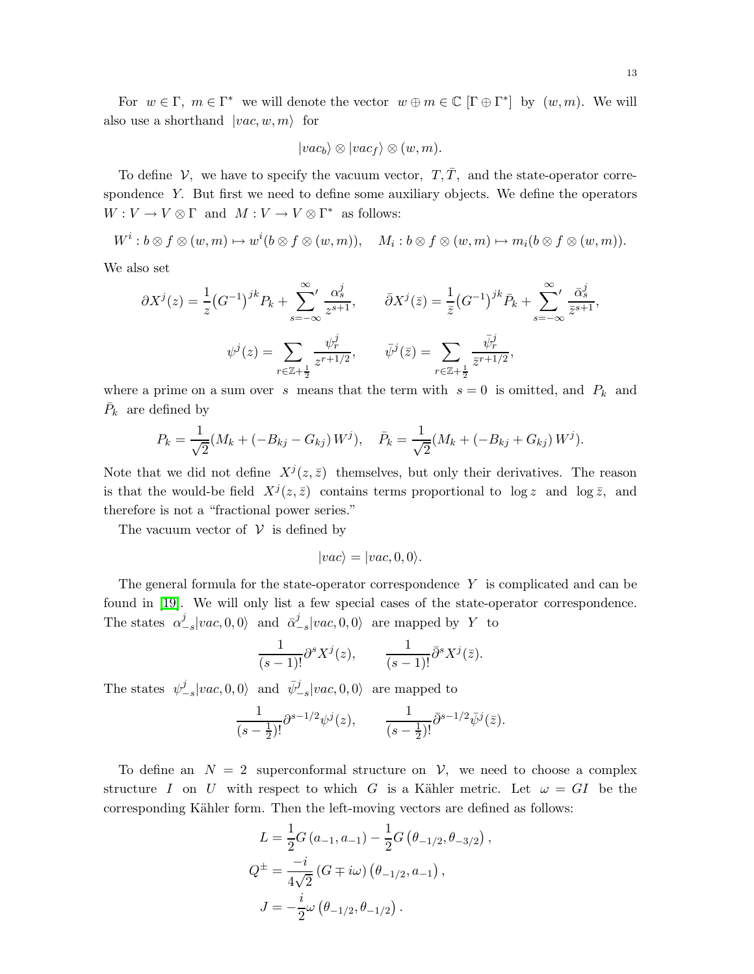For  $w \in \Gamma$ ,  $m \in \Gamma^*$  we will denote the vector  $w \oplus m \in \mathbb{C}$   $[\Gamma \oplus \Gamma^*]$  by  $(w, m)$ . We will also use a shorthand  $|vac, w, m\rangle$  for

$$
|vac_b\rangle \otimes |vac_f\rangle \otimes (w,m).
$$

To define  $V$ , we have to specify the vacuum vector,  $T, \overline{T}$ , and the state-operator correspondence Y. But first we need to define some auxiliary objects. We define the operators  $W: V \to V \otimes \Gamma$  and  $M: V \to V \otimes \Gamma^*$  as follows:

 $W^i : b \otimes f \otimes (w,m) \mapsto w^i(b \otimes f \otimes (w,m)), \quad M_i : b \otimes f \otimes (w,m) \mapsto m_i(b \otimes f \otimes (w,m)).$ 

We also set

$$
\partial X^{j}(z) = \frac{1}{z} (G^{-1})^{jk} P_{k} + \sum_{s=-\infty}^{\infty} \frac{\alpha_{s}^{j}}{z^{s+1}}, \qquad \bar{\partial} X^{j}(\bar{z}) = \frac{1}{\bar{z}} (G^{-1})^{jk} \bar{P}_{k} + \sum_{s=-\infty}^{\infty} \frac{\bar{\alpha}_{s}^{j}}{\bar{z}^{s+1}},
$$

$$
\psi^{j}(z) = \sum_{r \in \mathbb{Z} + \frac{1}{2}} \frac{\psi^{j}_{r}}{z^{r+1/2}}, \qquad \bar{\psi}^{j}(\bar{z}) = \sum_{r \in \mathbb{Z} + \frac{1}{2}} \frac{\bar{\psi}^{j}_{r}}{\bar{z}^{r+1/2}},
$$

where a prime on a sum over s means that the term with  $s = 0$  is omitted, and  $P_k$  and  $\bar{P}_k$  are defined by

$$
P_k = \frac{1}{\sqrt{2}} (M_k + (-B_{kj} - G_{kj}) W^j), \quad \bar{P}_k = \frac{1}{\sqrt{2}} (M_k + (-B_{kj} + G_{kj}) W^j).
$$

Note that we did not define  $X^{j}(z,\bar{z})$  themselves, but only their derivatives. The reason is that the would-be field  $X^{j}(z, \bar{z})$  contains terms proportional to  $\log z$  and  $\log \bar{z}$ , and therefore is not a "fractional power series."

The vacuum vector of  $V$  is defined by

$$
|vac\rangle = |vac, 0, 0\rangle.
$$

The general formula for the state-operator correspondence Y is complicated and can be found in [\[19\]](#page-30-1). We will only list a few special cases of the state-operator correspondence. The states  $\alpha^j$  $\int_{-s}^{j} |vac, 0, 0\rangle$  and  $\bar{\alpha}^{j}_{-}$  $\int_{-s}^{J} |vac, 0, 0\rangle$  are mapped by Y to

$$
\frac{1}{(s-1)!}\partial^s X^j(z), \qquad \frac{1}{(s-1)!}\bar{\partial}^s X^j(\bar{z}).
$$

The states  $\psi_-^j$  $\frac{j}{-s}$ |vac, 0, 0} and  $\bar{\psi}_{-s}^j$ |vac, 0, 0} are mapped to

$$
\frac{1}{(s-\frac{1}{2})!} \partial^{s-1/2} \psi^j(z), \qquad \frac{1}{(s-\frac{1}{2})!} \bar{\partial}^{s-1/2} \bar{\psi}^j(\bar{z}).
$$

To define an  $N = 2$  superconformal structure on  $V$ , we need to choose a complex structure I on U with respect to which G is a Kähler metric. Let  $\omega = GI$  be the corresponding Kähler form. Then the left-moving vectors are defined as follows:

$$
L = \frac{1}{2}G(a_{-1}, a_{-1}) - \frac{1}{2}G(\theta_{-1/2}, \theta_{-3/2})
$$
  
\n
$$
Q^{\pm} = \frac{-i}{4\sqrt{2}}(G \mp i\omega)(\theta_{-1/2}, a_{-1}),
$$
  
\n
$$
J = -\frac{i}{2}\omega(\theta_{-1/2}, \theta_{-1/2}).
$$

,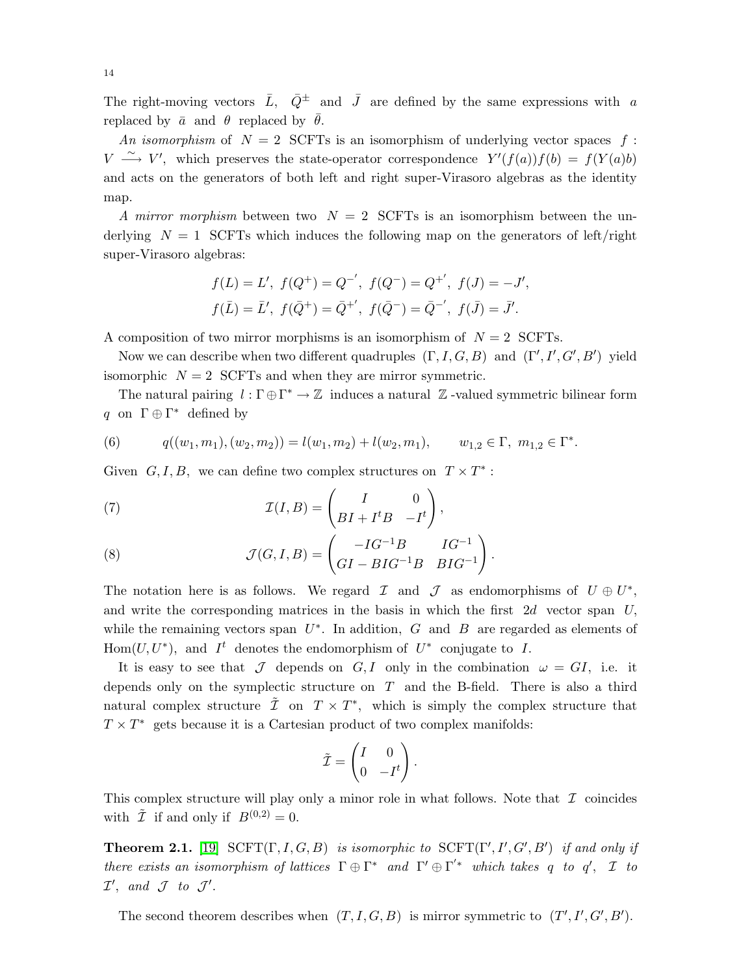The right-moving vectors  $\bar{L}$ ,  $\bar{Q}^{\pm}$  and  $\bar{J}$  are defined by the same expressions with a replaced by  $\bar{a}$  and  $\theta$  replaced by  $\bar{\theta}$ .

An isomorphism of  $N = 2$  SCFTs is an isomorphism of underlying vector spaces f:  $V \longrightarrow V'$ , which preserves the state-operator correspondence  $Y'(f(a))f(b) = f(Y(a)b)$ and acts on the generators of both left and right super-Virasoro algebras as the identity map.

A mirror morphism between two  $N = 2$  SCFTs is an isomorphism between the underlying  $N = 1$  SCFTs which induces the following map on the generators of left/right super-Virasoro algebras:

$$
f(L) = L', f(Q^+) = Q^{-',} f(Q^-) = Q^{+'}, f(J) = -J',
$$
  

$$
f(\bar{L}) = \bar{L}', f(\bar{Q}^+) = \bar{Q}^{+'}, f(\bar{Q}^-) = \bar{Q}^{-',} f(\bar{J}) = \bar{J}'.
$$

A composition of two mirror morphisms is an isomorphism of  $N = 2$  SCFTs.

Now we can describe when two different quadruples  $(\Gamma, I, G, B)$  and  $(\Gamma', I', G', B')$  yield isomorphic  $N = 2$  SCFTs and when they are mirror symmetric.

<span id="page-13-0"></span>The natural pairing  $l : \Gamma \oplus \Gamma^* \to \mathbb{Z}$  induces a natural  $\mathbb{Z}$ -valued symmetric bilinear form q on  $\Gamma \oplus \Gamma^*$  defined by

(6) 
$$
q((w_1, m_1), (w_2, m_2)) = l(w_1, m_2) + l(w_2, m_1), \qquad w_{1,2} \in \Gamma, m_{1,2} \in \Gamma^*.
$$

Given  $G, I, B$ , we can define two complex structures on  $T \times T^*$ :

(7) 
$$
\mathcal{I}(I,B) = \begin{pmatrix} I & 0 \\ BI + I^t B & -I^t \end{pmatrix},
$$

(8) 
$$
\mathcal{J}(G, I, B) = \begin{pmatrix} -IG^{-1}B & IG^{-1} \\ GI - BIG^{-1}B & BIG^{-1} \end{pmatrix}.
$$

The notation here is as follows. We regard  $\mathcal I$  and  $\mathcal J$  as endomorphisms of  $U \oplus U^*$ , and write the corresponding matrices in the basis in which the first  $2d$  vector span U, while the remaining vectors span  $U^*$ . In addition, G and B are regarded as elements of Hom $(U, U^*)$ , and  $I^t$  denotes the endomorphism of  $U^*$  conjugate to I.

It is easy to see that  $\mathcal J$  depends on  $G, I$  only in the combination  $\omega = GI$ , i.e. it depends only on the symplectic structure on  $T$  and the B-field. There is also a third natural complex structure  $\tilde{\mathcal{I}}$  on  $T \times T^*$ , which is simply the complex structure that  $T \times T^*$  gets because it is a Cartesian product of two complex manifolds:

$$
\tilde{\mathcal{I}} = \begin{pmatrix} I & 0 \\ 0 & -I^t \end{pmatrix}.
$$

<span id="page-13-1"></span>This complex structure will play only a minor role in what follows. Note that  $\mathcal I$  coincides with  $\tilde{\mathcal{I}}$  if and only if  $B^{(0,2)}=0$ .

**Theorem 2.1.** [\[19\]](#page-30-1)  $SCFT(\Gamma, I, G, B)$  is isomorphic to  $SCFT(\Gamma', I', G', B')$  if and only if there exists an isomorphism of lattices  $\Gamma \oplus \Gamma^*$  and  $\Gamma' \oplus \Gamma^{'*}$  which takes q to q',  $\mathcal I$  to  $\mathcal{I}',$  and  $\mathcal{J}$  to  $\mathcal{J}'.$ 

The second theorem describes when  $(T, I, G, B)$  is mirror symmetric to  $(T', I', G', B')$ .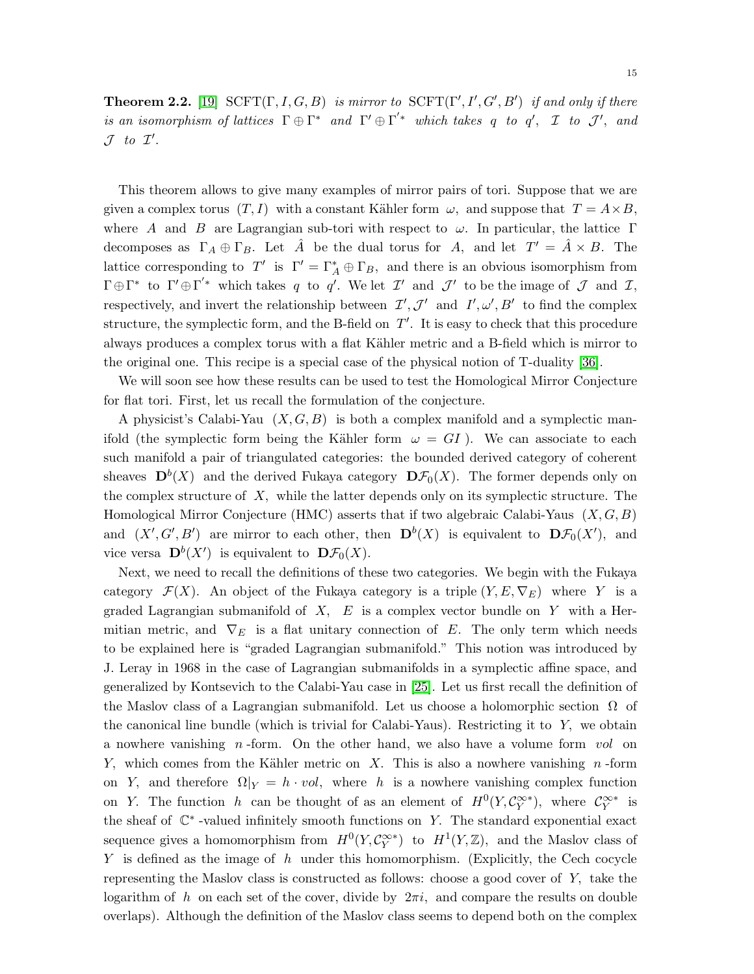**Theorem 2.2.** [\[19\]](#page-30-1)  $SCFT(\Gamma, I, G, B)$  is mirror to  $SCFT(\Gamma', I', G', B')$  if and only if there is an isomorphism of lattices  $\Gamma \oplus \Gamma^*$  and  $\Gamma' \oplus \Gamma'^*$  which takes q to q',  $\mathcal I$  to  $\mathcal J'$ , and  $\mathcal J$  to  $\mathcal I'.$ 

This theorem allows to give many examples of mirror pairs of tori. Suppose that we are given a complex torus  $(T, I)$  with a constant Kähler form  $\omega$ , and suppose that  $T = A \times B$ , where A and B are Lagrangian sub-tori with respect to  $\omega$ . In particular, the lattice Γ decomposes as  $\Gamma_A \oplus \Gamma_B$ . Let  $\hat{A}$  be the dual torus for A, and let  $T' = \hat{A} \times B$ . The lattice corresponding to  $T'$  is  $\Gamma' = \Gamma_A^* \oplus \Gamma_B$ , and there is an obvious isomorphism from  $\Gamma \oplus \Gamma^*$  to  $\Gamma' \oplus \Gamma'^*$  which takes q to q'. We let  $\mathcal{I}'$  and  $\mathcal{J}'$  to be the image of  $\mathcal J$  and  $\mathcal I$ , respectively, and invert the relationship between  $\mathcal{I}', \mathcal{J}'$  and  $I', \omega', B'$  to find the complex structure, the symplectic form, and the B-field on  $T'$ . It is easy to check that this procedure always produces a complex torus with a flat Kähler metric and a B-field which is mirror to the original one. This recipe is a special case of the physical notion of T-duality [\[36\]](#page-30-2).

We will soon see how these results can be used to test the Homological Mirror Conjecture for flat tori. First, let us recall the formulation of the conjecture.

A physicist's Calabi-Yau  $(X, G, B)$  is both a complex manifold and a symplectic manifold (the symplectic form being the Kähler form  $\omega = GI$ ). We can associate to each such manifold a pair of triangulated categories: the bounded derived category of coherent sheaves  $\mathbf{D}^b(X)$  and the derived Fukaya category  $\mathbf{D}\mathcal{F}_0(X)$ . The former depends only on the complex structure of  $X$ , while the latter depends only on its symplectic structure. The Homological Mirror Conjecture (HMC) asserts that if two algebraic Calabi-Yaus  $(X, G, B)$ and  $(X', G', B')$  are mirror to each other, then  $\mathbf{D}^b(X)$  is equivalent to  $\mathbf{D}\mathcal{F}_0(X')$ , and vice versa  $\mathbf{D}^b(X')$  is equivalent to  $\mathbf{D}\mathcal{F}_0(X)$ .

Next, we need to recall the definitions of these two categories. We begin with the Fukaya category  $\mathcal{F}(X)$ . An object of the Fukaya category is a triple  $(Y, E, \nabla_E)$  where Y is a graded Lagrangian submanifold of  $X$ ,  $E$  is a complex vector bundle on Y with a Hermitian metric, and  $\nabla_E$  is a flat unitary connection of E. The only term which needs to be explained here is "graded Lagrangian submanifold." This notion was introduced by J. Leray in 1968 in the case of Lagrangian submanifolds in a symplectic affine space, and generalized by Kontsevich to the Calabi-Yau case in [\[25\]](#page-30-0). Let us first recall the definition of the Maslov class of a Lagrangian submanifold. Let us choose a holomorphic section  $\Omega$  of the canonical line bundle (which is trivial for Calabi-Yaus). Restricting it to Y, we obtain a nowhere vanishing  $n$ -form. On the other hand, we also have a volume form vol on Y, which comes from the Kähler metric on X. This is also a nowhere vanishing  $n$ -form on Y, and therefore  $\Omega|_Y = h \cdot vol$ , where h is a nowhere vanishing complex function on Y. The function h can be thought of as an element of  $H^0(Y, \mathcal{C}^{\infty*}_Y)$ , where  $\mathcal{C}^{\infty*}_Y$  is the sheaf of  $\mathbb{C}^*$ -valued infinitely smooth functions on Y. The standard exponential exact sequence gives a homomorphism from  $H^0(Y, \mathcal{C}^{\infty*}_Y)$  to  $H^1(Y, \mathbb{Z})$ , and the Maslov class of  $Y$  is defined as the image of h under this homomorphism. (Explicitly, the Cech cocycle representing the Maslov class is constructed as follows: choose a good cover of Y, take the logarithm of h on each set of the cover, divide by  $2\pi i$ , and compare the results on double overlaps). Although the definition of the Maslov class seems to depend both on the complex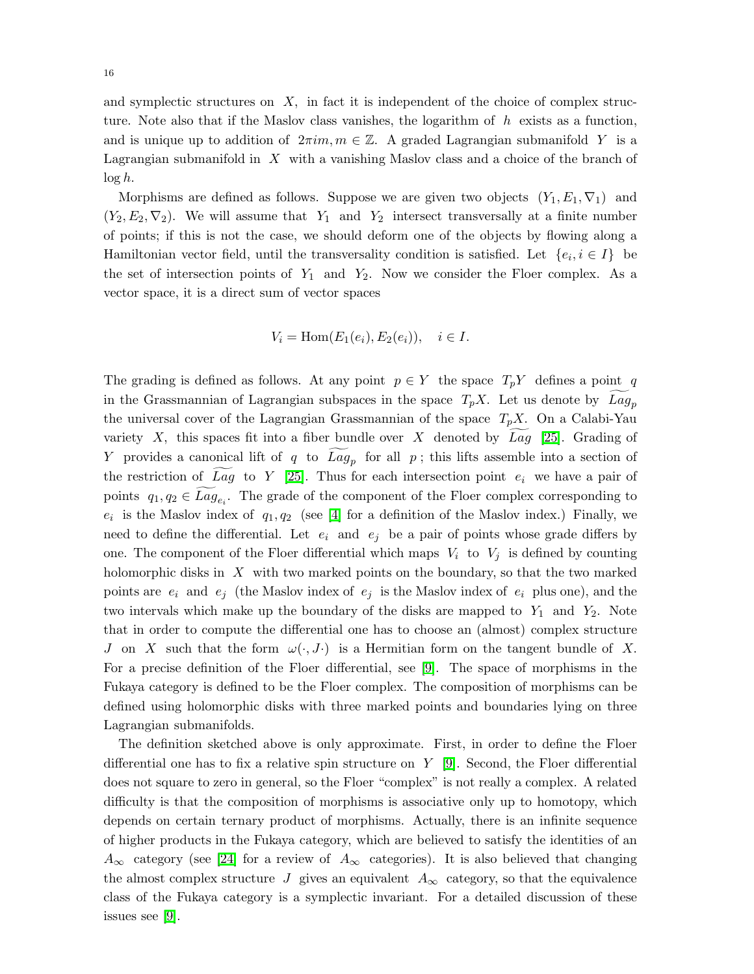and symplectic structures on  $X$ , in fact it is independent of the choice of complex structure. Note also that if the Maslov class vanishes, the logarithm of  $h$  exists as a function, and is unique up to addition of  $2\pi im, m \in \mathbb{Z}$ . A graded Lagrangian submanifold Y is a Lagrangian submanifold in  $X$  with a vanishing Maslov class and a choice of the branch of  $\log h$ .

Morphisms are defined as follows. Suppose we are given two objects  $(Y_1, E_1, \nabla_1)$  and  $(Y_2, E_2, \nabla_2)$ . We will assume that  $Y_1$  and  $Y_2$  intersect transversally at a finite number of points; if this is not the case, we should deform one of the objects by flowing along a Hamiltonian vector field, until the transversality condition is satisfied. Let  $\{e_i, i \in I\}$  be the set of intersection points of  $Y_1$  and  $Y_2$ . Now we consider the Floer complex. As a vector space, it is a direct sum of vector spaces

$$
V_i = \text{Hom}(E_1(e_i), E_2(e_i)), \quad i \in I.
$$

The grading is defined as follows. At any point  $p \in Y$  the space  $T_pY$  defines a point q in the Grassmannian of Lagrangian subspaces in the space  $T_pX$ . Let us denote by  $Lag_p$ the universal cover of the Lagrangian Grassmannian of the space  $T_pX$ . On a Calabi-Yau variety X, this spaces fit into a fiber bundle over X denoted by Lag [\[25\]](#page-30-0). Grading of Y provides a canonical lift of q to  $Lag_p$  for all p; this lifts assemble into a section of the restriction of Lag to Y [\[25\]](#page-30-0). Thus for each intersection point  $e_i$  we have a pair of points  $q_1, q_2 \in Lag$ . The grade of the component of the Floer complex corresponding to  $e_i$  is the Maslov index of  $q_1, q_2$  (see [\[4\]](#page-29-5) for a definition of the Maslov index.) Finally, we need to define the differential. Let  $e_i$  and  $e_j$  be a pair of points whose grade differs by one. The component of the Floer differential which maps  $V_i$  to  $V_j$  is defined by counting holomorphic disks in  $X$  with two marked points on the boundary, so that the two marked points are  $e_i$  and  $e_j$  (the Maslov index of  $e_j$  is the Maslov index of  $e_i$  plus one), and the two intervals which make up the boundary of the disks are mapped to  $Y_1$  and  $Y_2$ . Note that in order to compute the differential one has to choose an (almost) complex structure J on X such that the form  $\omega(\cdot,J\cdot)$  is a Hermitian form on the tangent bundle of X. For a precise definition of the Floer differential, see [\[9\]](#page-29-6). The space of morphisms in the Fukaya category is defined to be the Floer complex. The composition of morphisms can be defined using holomorphic disks with three marked points and boundaries lying on three Lagrangian submanifolds.

The definition sketched above is only approximate. First, in order to define the Floer differential one has to fix a relative spin structure on  $Y$  [\[9\]](#page-29-6). Second, the Floer differential does not square to zero in general, so the Floer "complex" is not really a complex. A related difficulty is that the composition of morphisms is associative only up to homotopy, which depends on certain ternary product of morphisms. Actually, there is an infinite sequence of higher products in the Fukaya category, which are believed to satisfy the identities of an  $A_{\infty}$  category (see [\[24\]](#page-30-10) for a review of  $A_{\infty}$  categories). It is also believed that changing the almost complex structure J gives an equivalent  $A_{\infty}$  category, so that the equivalence class of the Fukaya category is a symplectic invariant. For a detailed discussion of these issues see [\[9\]](#page-29-6).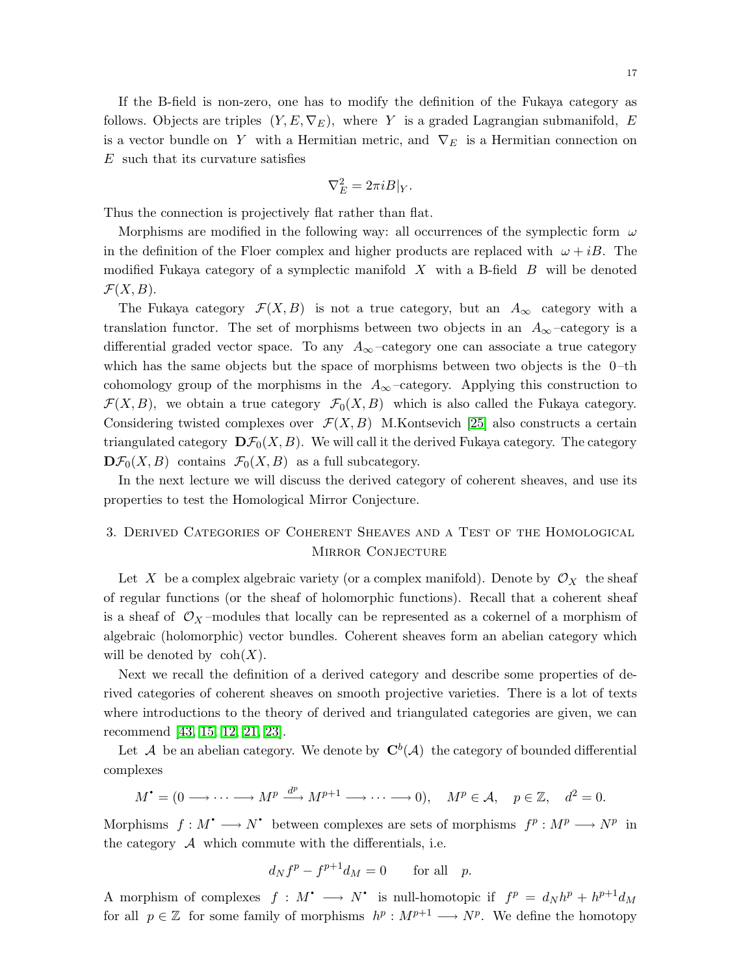If the B-field is non-zero, one has to modify the definition of the Fukaya category as follows. Objects are triples  $(Y, E, \nabla_E)$ , where Y is a graded Lagrangian submanifold, E is a vector bundle on Y with a Hermitian metric, and  $\nabla_E$  is a Hermitian connection on E such that its curvature satisfies

$$
\nabla_E^2 = 2\pi i B|_Y.
$$

Thus the connection is projectively flat rather than flat.

Morphisms are modified in the following way: all occurrences of the symplectic form  $\omega$ in the definition of the Floer complex and higher products are replaced with  $\omega + iB$ . The modified Fukaya category of a symplectic manifold  $X$  with a B-field  $B$  will be denoted  $\mathcal{F}(X,B).$ 

The Fukaya category  $\mathcal{F}(X, B)$  is not a true category, but an  $A_{\infty}$  category with a translation functor. The set of morphisms between two objects in an  $A_{\infty}$  –category is a differential graded vector space. To any  $A_{\infty}$  –category one can associate a true category which has the same objects but the space of morphisms between two objects is the  $0$ -th cohomology group of the morphisms in the  $A_{\infty}$ -category. Applying this construction to  $\mathcal{F}(X,B)$ , we obtain a true category  $\mathcal{F}_0(X,B)$  which is also called the Fukaya category. Considering twisted complexes over  $\mathcal{F}(X,B)$  M.Kontsevich [\[25\]](#page-30-0) also constructs a certain triangulated category  $\mathbf{D}\mathcal{F}_0(X, B)$ . We will call it the derived Fukaya category. The category  $\mathbf{D}\mathcal{F}_0(X,B)$  contains  $\mathcal{F}_0(X,B)$  as a full subcategory.

In the next lecture we will discuss the derived category of coherent sheaves, and use its properties to test the Homological Mirror Conjecture.

# 3. Derived Categories of Coherent Sheaves and a Test of the Homological MIRROR CONJECTURE

Let X be a complex algebraic variety (or a complex manifold). Denote by  $\mathcal{O}_X$  the sheaf of regular functions (or the sheaf of holomorphic functions). Recall that a coherent sheaf is a sheaf of  $\mathcal{O}_X$ -modules that locally can be represented as a cokernel of a morphism of algebraic (holomorphic) vector bundles. Coherent sheaves form an abelian category which will be denoted by  $\text{coh}(X)$ .

Next we recall the definition of a derived category and describe some properties of derived categories of coherent sheaves on smooth projective varieties. There is a lot of texts where introductions to the theory of derived and triangulated categories are given, we can recommend [\[43,](#page-31-7) [15,](#page-30-11) [12,](#page-30-12) [21,](#page-30-13) [23\]](#page-30-14).

Let  $\mathcal A$  be an abelian category. We denote by  $\mathbf{C}^b(\mathcal A)$  the category of bounded differential complexes

$$
M^{\bullet} = (0 \longrightarrow \cdots \longrightarrow M^{p} \stackrel{d^{p}}{\longrightarrow} M^{p+1} \longrightarrow \cdots \longrightarrow 0), \quad M^{p} \in \mathcal{A}, \quad p \in \mathbb{Z}, \quad d^{2} = 0.
$$

Morphisms  $f: M^{\bullet} \longrightarrow N^{\bullet}$  between complexes are sets of morphisms  $f^p: M^p \longrightarrow N^p$  in q q the category  $A$  which commute with the differentials, i.e.

$$
d_N f^p - f^{p+1} d_M = 0 \qquad \text{for all} \quad p.
$$

A morphism of complexes  $f : M^{\bullet} \longrightarrow N^{\bullet}$  is null-homotopic if  $f^p = d_N h^p + h^{p+1} d_M$ q q for all  $p \in \mathbb{Z}$  for some family of morphisms  $h^p : M^{p+1} \longrightarrow N^p$ . We define the homotopy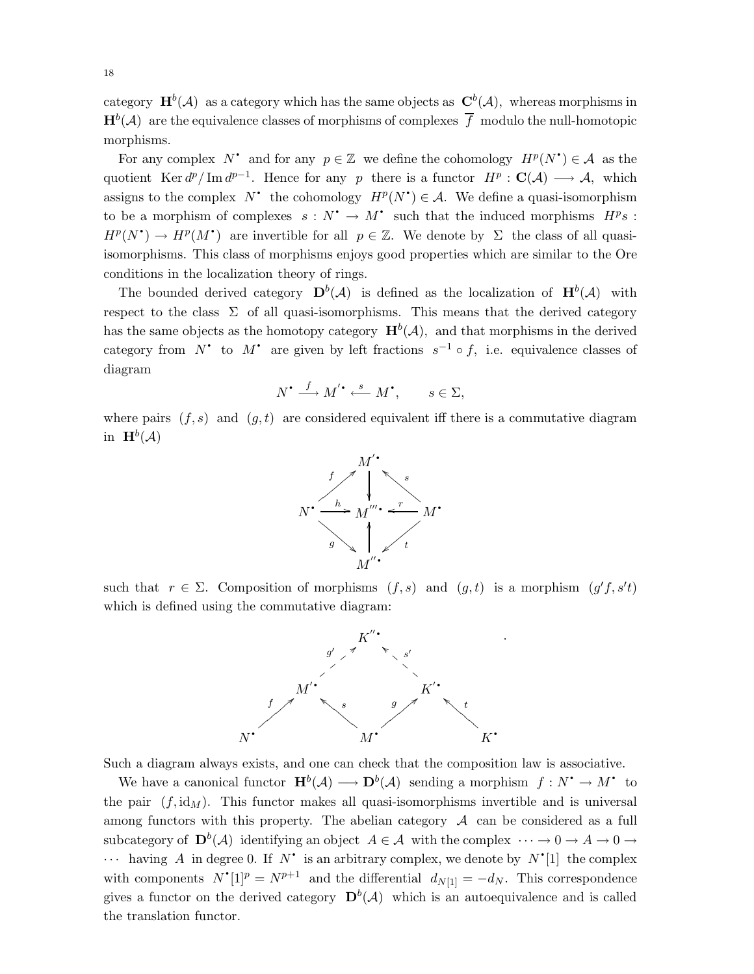category  $\mathbf{H}^{b}(\mathcal{A})$  as a category which has the same objects as  $\mathbf{C}^{b}(\mathcal{A})$ , whereas morphisms in  $\mathbf{H}^{b}(\mathcal{A})$  are the equivalence classes of morphisms of complexes  $\overline{f}$  modulo the null-homotopic morphisms.

For any complex  $N^*$  and for any  $p \in \mathbb{Z}$  we define the cohomology  $H^p(N^*) \in \mathcal{A}$  as the q q quotient Ker  $d^p/\text{Im }d^{p-1}$ . Hence for any p there is a functor  $H^p$ :  $\mathbf{C}(\mathcal{A}) \longrightarrow \mathcal{A}$ , which assigns to the complex  $N^*$  the cohomology  $H^p(N^*) \in \mathcal{A}$ . We define a quasi-isomorphism q q to be a morphism of complexes  $s : N^* \to M^*$  such that the induced morphisms  $H^p s$ : q  $H^p(N^{\bullet}) \to H^p(M^{\bullet})$  are invertible for all  $p \in \mathbb{Z}$ . We denote by  $\Sigma$  the class of all quasiq isomorphisms. This class of morphisms enjoys good properties which are similar to the Ore conditions in the localization theory of rings.

The bounded derived category  $\mathbf{D}^b(\mathcal{A})$  is defined as the localization of  $\mathbf{H}^b(\mathcal{A})$  with respect to the class  $\Sigma$  of all quasi-isomorphisms. This means that the derived category has the same objects as the homotopy category  $\mathbf{H}^{b}(\mathcal{A})$ , and that morphisms in the derived category from N<sup>\*</sup> to M<sup>\*</sup> are given by left fractions  $s^{-1} \circ f$ , i.e. equivalence classes of q q diagram

$$
N^{\bullet} \xrightarrow{f} M^{'\bullet} \xleftarrow{s} M^{\bullet}, \qquad s \in \Sigma,
$$

where pairs  $(f, s)$  and  $(g, t)$  are considered equivalent iff there is a commutative diagram in  $\mathbf{H}^b(\mathcal{A})$ 



such that  $r \in \Sigma$ . Composition of morphisms  $(f, s)$  and  $(g, t)$  is a morphism  $(g'f, s't)$ which is defined using the commutative diagram:



Such a diagram always exists, and one can check that the composition law is associative.

We have a canonical functor  $\mathbf{H}^b(\mathcal{A}) \longrightarrow \mathbf{D}^b(\mathcal{A})$  sending a morphism  $f: N^* \to M^*$  to q the pair  $(f, id<sub>M</sub>)$ . This functor makes all quasi-isomorphisms invertible and is universal among functors with this property. The abelian category  $A$  can be considered as a full subcategory of  $\mathbf{D}^b(\mathcal{A})$  identifying an object  $A \in \mathcal{A}$  with the complex  $\cdots \to 0 \to A \to 0 \to A$  $\cdots$  having A in degree 0. If N' is an arbitrary complex, we denote by  $N'[1]$  the complex q q with components  $N^{\bullet}[1]^{p} = N^{p+1}$  and the differential  $d_{N[1]} = -d_N$ . This correspondence q gives a functor on the derived category  $\mathbf{D}^b(\mathcal{A})$  which is an autoequivalence and is called the translation functor.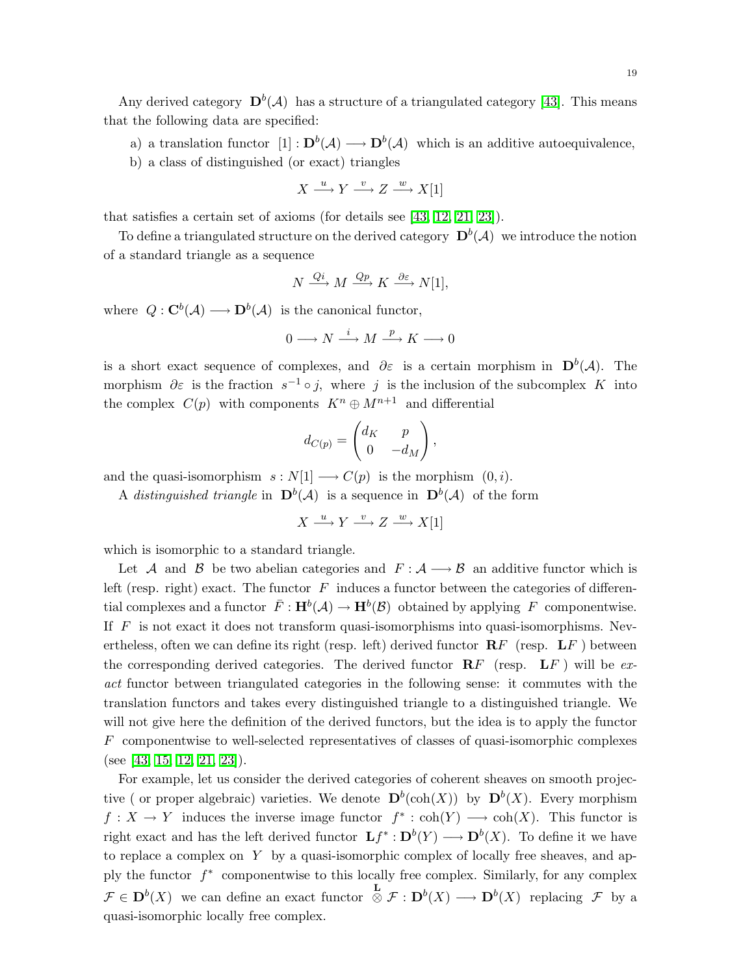Any derived category  $\mathbf{D}^b(\mathcal{A})$  has a structure of a triangulated category [\[43\]](#page-31-7). This means that the following data are specified:

a) a translation functor  $[1]: \mathbf{D}^b(\mathcal{A}) \longrightarrow \mathbf{D}^b(\mathcal{A})$  which is an additive autoequivalence,

b) a class of distinguished (or exact) triangles

$$
X \xrightarrow{u} Y \xrightarrow{v} Z \xrightarrow{w} X[1]
$$

that satisfies a certain set of axioms (for details see [\[43,](#page-31-7) [12,](#page-30-12) [21,](#page-30-13) [23\]](#page-30-14)).

To define a triangulated structure on the derived category  $\mathbf{D}^b(\mathcal{A})$  we introduce the notion of a standard triangle as a sequence

$$
N \xrightarrow{Qi} M \xrightarrow{Qp} K \xrightarrow{\partial \varepsilon} N[1],
$$

where  $Q: \mathbf{C}^b(\mathcal{A}) \longrightarrow \mathbf{D}^b(\mathcal{A})$  is the canonical functor,

$$
0 \longrightarrow N \xrightarrow{i} M \xrightarrow{p} K \longrightarrow 0
$$

is a short exact sequence of complexes, and  $\partial \varepsilon$  is a certain morphism in  $\mathbf{D}^b(\mathcal{A})$ . The morphism  $\partial \varepsilon$  is the fraction  $s^{-1} \circ j$ , where j is the inclusion of the subcomplex K into the complex  $C(p)$  with components  $K^n \oplus M^{n+1}$  and differential

$$
d_{C(p)} = \begin{pmatrix} d_K & p \\ 0 & -d_M \end{pmatrix},
$$

and the quasi-isomorphism  $s : N[1] \longrightarrow C(p)$  is the morphism  $(0, i)$ .

A distinguished triangle in  $\mathbf{D}^b(\mathcal{A})$  is a sequence in  $\mathbf{D}^b(\mathcal{A})$  of the form

$$
X \xrightarrow{u} Y \xrightarrow{v} Z \xrightarrow{w} X[1]
$$

which is isomorphic to a standard triangle.

Let A and B be two abelian categories and  $F : A \longrightarrow B$  an additive functor which is left (resp. right) exact. The functor  $F$  induces a functor between the categories of differential complexes and a functor  $\bar{F}$ :  $\mathbf{H}^b(\mathcal{A}) \to \mathbf{H}^b(\mathcal{B})$  obtained by applying F componentwise. If  $F$  is not exact it does not transform quasi-isomorphisms into quasi-isomorphisms. Nevertheless, often we can define its right (resp. left) derived functor  $\mathbf{R}F$  (resp.  $\mathbf{L}F$ ) between the corresponding derived categories. The derived functor  $\mathbf{R} F$  (resp.  $\mathbf{L} F$ ) will be exact functor between triangulated categories in the following sense: it commutes with the translation functors and takes every distinguished triangle to a distinguished triangle. We will not give here the definition of the derived functors, but the idea is to apply the functor F componentwise to well-selected representatives of classes of quasi-isomorphic complexes (see [\[43,](#page-31-7) [15,](#page-30-11) [12,](#page-30-12) [21,](#page-30-13) [23\]](#page-30-14)).

For example, let us consider the derived categories of coherent sheaves on smooth projective ( or proper algebraic) varieties. We denote  $\mathbf{D}^b(\operatorname{coh}(X))$  by  $\mathbf{D}^b(X)$ . Every morphism  $f: X \to Y$  induces the inverse image functor  $f^* : \text{coh}(Y) \longrightarrow \text{coh}(X)$ . This functor is right exact and has the left derived functor  $\mathbf{L} f^* : \mathbf{D}^b(Y) \longrightarrow \mathbf{D}^b(X)$ . To define it we have to replace a complex on  $Y$  by a quasi-isomorphic complex of locally free sheaves, and apply the functor  $f^*$  componentwise to this locally free complex. Similarly, for any complex  $\mathcal{F} \in \mathbf{D}^b(X)$  we can define an exact functor  $\stackrel{\mathbf{L}}{\otimes} \mathcal{F}: \mathbf{D}^b(X) \longrightarrow \mathbf{D}^b(X)$  replacing  $\mathcal{F}$  by a quasi-isomorphic locally free complex.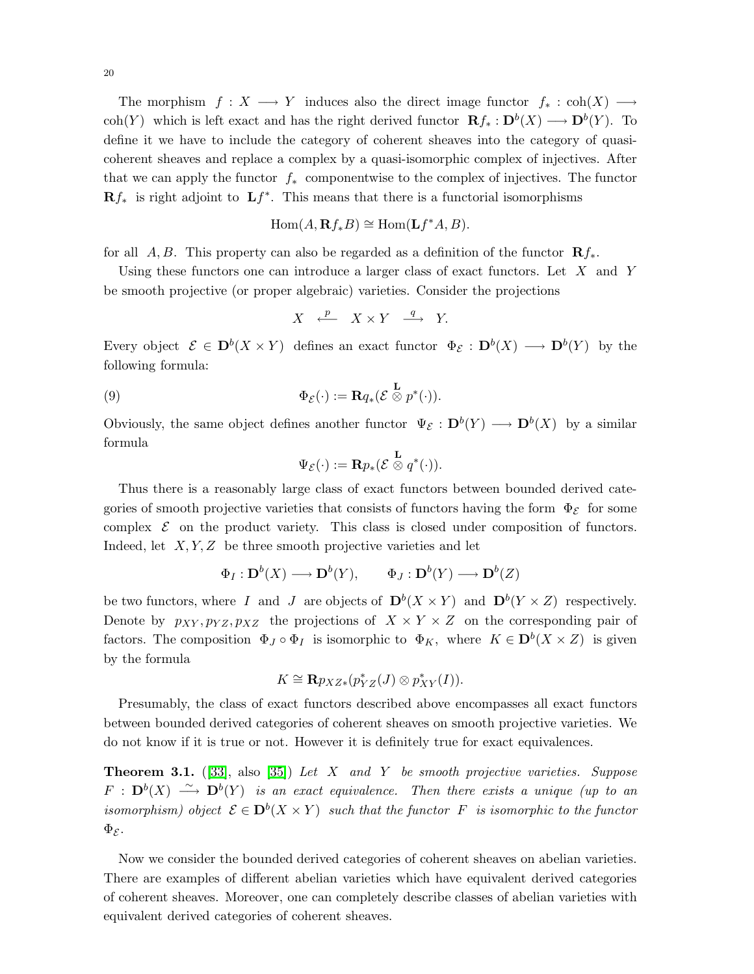The morphism  $f : X \longrightarrow Y$  induces also the direct image functor  $f_* : \text{coh}(X) \longrightarrow$ coh(Y) which is left exact and has the right derived functor  $\mathbf{R} f_* : \mathbf{D}^b(X) \longrightarrow \mathbf{D}^b(Y)$ . To define it we have to include the category of coherent sheaves into the category of quasicoherent sheaves and replace a complex by a quasi-isomorphic complex of injectives. After that we can apply the functor  $f_*$  componentwise to the complex of injectives. The functor  $\mathbf{R} f_*$  is right adjoint to  $\mathbf{L} f^*$ . This means that there is a functorial isomorphisms

$$
Hom(A, \mathbf{R}f_*B) \cong Hom(\mathbf{L}f^*A, B).
$$

for all A,B. This property can also be regarded as a definition of the functor  $\mathbb{R} f_*$ .

Using these functors one can introduce a larger class of exact functors. Let  $X$  and  $Y$ be smooth projective (or proper algebraic) varieties. Consider the projections

$$
X \xrightarrow{\ p} X \times Y \xrightarrow{q} Y.
$$

<span id="page-19-0"></span>Every object  $\mathcal{E} \in \mathbf{D}^b(X \times Y)$  defines an exact functor  $\Phi_{\mathcal{E}} : \mathbf{D}^b(X) \longrightarrow \mathbf{D}^b(Y)$  by the following formula:

(9) 
$$
\Phi_{\mathcal{E}}(\cdot) := \mathbf{R} q_* ( \mathcal{E} \overset{\mathbf{L}}{\otimes} p^*(\cdot) ).
$$

Obviously, the same object defines another functor  $\Psi_{\mathcal{E}} : \mathbf{D}^b(Y) \longrightarrow \mathbf{D}^b(X)$  by a similar formula

$$
\Psi_{\mathcal E}(\cdot):=\mathbf{R}p_{\ast}(\mathcal E\stackrel{\mathbf{L}}{\otimes} q^{\ast}(\cdot)).
$$

Thus there is a reasonably large class of exact functors between bounded derived categories of smooth projective varieties that consists of functors having the form  $\Phi_{\mathcal{E}}$  for some complex  $\mathcal E$  on the product variety. This class is closed under composition of functors. Indeed, let  $X, Y, Z$  be three smooth projective varieties and let

$$
\Phi_I: \mathbf{D}^b(X) \longrightarrow \mathbf{D}^b(Y), \qquad \Phi_J: \mathbf{D}^b(Y) \longrightarrow \mathbf{D}^b(Z)
$$

be two functors, where I and J are objects of  $\mathbf{D}^b(X \times Y)$  and  $\mathbf{D}^b(Y \times Z)$  respectively. Denote by  $p_{XY}, p_{YZ}, p_{XZ}$  the projections of  $X \times Y \times Z$  on the corresponding pair of factors. The composition  $\Phi_J \circ \Phi_I$  is isomorphic to  $\Phi_K$ , where  $K \in \mathbf{D}^b(X \times Z)$  is given by the formula

$$
K \cong \mathbf{R}p_{XZ*}(p_{YZ}^*(J) \otimes p_{XY}^*(I)).
$$

Presumably, the class of exact functors described above encompasses all exact functors between bounded derived categories of coherent sheaves on smooth projective varieties. We do not know if it is true or not. However it is definitely true for exact equivalences.

**Theorem 3.1.** ([\[33\]](#page-30-15), also [\[35\]](#page-30-16)) Let X and Y be smooth projective varieties. Suppose  $F$  :  $\mathbf{D}^{b}(X) \stackrel{\sim}{\longrightarrow} \mathbf{D}^{b}(Y)$  is an exact equivalence. Then there exists a unique (up to an isomorphism) object  $\mathcal{E} \in \mathbf{D}^b(X \times Y)$  such that the functor  $F$  is isomorphic to the functor  $\Phi_{\mathcal{E}}$ .

Now we consider the bounded derived categories of coherent sheaves on abelian varieties. There are examples of different abelian varieties which have equivalent derived categories of coherent sheaves. Moreover, one can completely describe classes of abelian varieties with equivalent derived categories of coherent sheaves.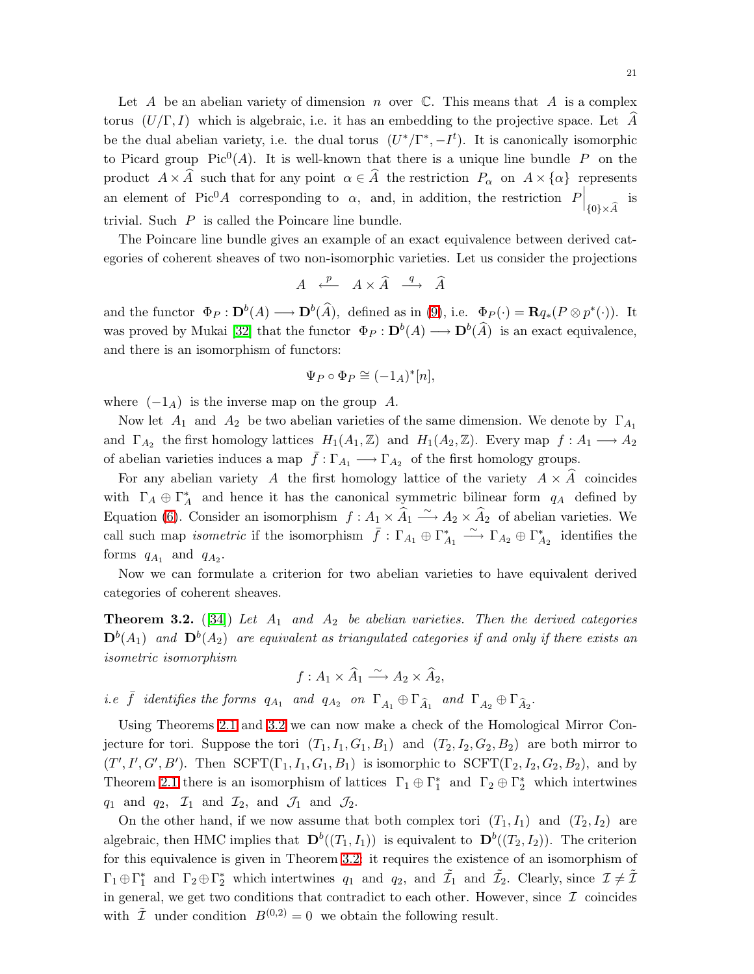Let A be an abelian variety of dimension n over  $\mathbb C$ . This means that A is a complex torus  $(U/\Gamma, I)$  which is algebraic, i.e. it has an embedding to the projective space. Let A be the dual abelian variety, i.e. the dual torus  $(U^*/\Gamma^*, -I^t)$ . It is canonically isomorphic to Picard group  $Pic^0(A)$ . It is well-known that there is a unique line bundle P on the product  $A \times \hat{A}$  such that for any point  $\alpha \in \hat{A}$  the restriction  $P_{\alpha}$  on  $A \times {\alpha}$  represents an element of Pic<sup>0</sup>A corresponding to  $\alpha$ , and, in addition, the restriction  $P\Big|_{\{0\}\times \widehat{A}}$ is trivial. Such P is called the Poincare line bundle.

The Poincare line bundle gives an example of an exact equivalence between derived categories of coherent sheaves of two non-isomorphic varieties. Let us consider the projections

$$
A \xrightarrow{p} A \times \widehat{A} \xrightarrow{q} \widehat{A}
$$

and the functor  $\Phi_P : \mathbf{D}^b(A) \longrightarrow \mathbf{D}^b(\hat{A})$ , defined as in [\(9\)](#page-19-0), i.e.  $\Phi_P(\cdot) = \mathbf{R} q_*(P \otimes p^*(\cdot))$ . It was proved by Mukai [\[32\]](#page-30-17) that the functor  $\Phi_P : \mathbf{D}^b(A) \longrightarrow \mathbf{D}^b(\widehat{A})$  is an exact equivalence, and there is an isomorphism of functors:

$$
\Psi_P \circ \Phi_P \cong (-1_A)^*[n],
$$

where  $(-1_A)$  is the inverse map on the group A.

Now let  $A_1$  and  $A_2$  be two abelian varieties of the same dimension. We denote by  $\Gamma_{A_1}$ and  $\Gamma_{A_2}$  the first homology lattices  $H_1(A_1, \mathbb{Z})$  and  $H_1(A_2, \mathbb{Z})$ . Every map  $f : A_1 \longrightarrow A_2$ of abelian varieties induces a map  $\bar{f}: \Gamma_{A_1} \longrightarrow \Gamma_{A_2}$  of the first homology groups.

For any abelian variety A the first homology lattice of the variety  $A \times A$  coincides with  $\Gamma_A \oplus \Gamma_A^*$  and hence it has the canonical symmetric bilinear form  $q_A$  defined by Equation [\(6\)](#page-13-0). Consider an isomorphism  $f: A_1 \times \hat{A}_1 \longrightarrow A_2 \times \hat{A}_2$  of abelian varieties. We call such map *isometric* if the isomorphism  $\bar{f}: \Gamma_{A_1} \oplus \Gamma_{A_1}^* \longrightarrow \Gamma_{A_2} \oplus \Gamma_{A_2}^*$  identifies the forms  $q_{A_1}$  and  $q_{A_2}$ .

<span id="page-20-0"></span>Now we can formulate a criterion for two abelian varieties to have equivalent derived categories of coherent sheaves.

**Theorem 3.2.** ([\[34\]](#page-30-18)) Let  $A_1$  and  $A_2$  be abelian varieties. Then the derived categories  $\mathbf{D}^b(A_1)$  and  $\mathbf{D}^b(A_2)$  are equivalent as triangulated categories if and only if there exists an isometric isomorphism

$$
f: A_1 \times \widehat{A}_1 \xrightarrow{\sim} A_2 \times \widehat{A}_2,
$$

*i.e*  $\bar{f}$  identifies the forms  $q_{A_1}$  and  $q_{A_2}$  on  $\Gamma_{A_1} \oplus \Gamma_{\hat{A}_1}$  and  $\Gamma_{A_2} \oplus \Gamma_{\hat{A}_2}$ .

Using Theorems [2.1](#page-13-1) and [3.2](#page-20-0) we can now make a check of the Homological Mirror Conjecture for tori. Suppose the tori  $(T_1,I_1,G_1,B_1)$  and  $(T_2,I_2,G_2,B_2)$  are both mirror to  $(T', I', G', B')$ . Then  $SCFT(\Gamma_1, I_1, G_1, B_1)$  is isomorphic to  $SCFT(\Gamma_2, I_2, G_2, B_2)$ , and by Theorem [2.1](#page-13-1) there is an isomorphism of lattices  $\Gamma_1 \oplus \Gamma_1^*$  and  $\Gamma_2 \oplus \Gamma_2^*$  which intertwines  $q_1$  and  $q_2$ ,  $\mathcal{I}_1$  and  $\mathcal{I}_2$ , and  $\mathcal{J}_1$  and  $\mathcal{J}_2$ .

<span id="page-20-1"></span>On the other hand, if we now assume that both complex tori  $(T_1,I_1)$  and  $(T_2,I_2)$  are algebraic, then HMC implies that  $\mathbf{D}^b((T_1,I_1))$  is equivalent to  $\mathbf{D}^b((T_2,I_2))$ . The criterion for this equivalence is given in Theorem [3.2:](#page-20-0) it requires the existence of an isomorphism of  $\Gamma_1 \oplus \Gamma_1^*$  and  $\Gamma_2 \oplus \Gamma_2^*$  which intertwines  $q_1$  and  $q_2$ , and  $\tilde{\mathcal{I}}_1$  and  $\tilde{\mathcal{I}}_2$ . Clearly, since  $\mathcal{I} \neq \tilde{\mathcal{I}}$ in general, we get two conditions that contradict to each other. However, since  $\mathcal I$  coincides with  $\tilde{\mathcal{I}}$  under condition  $B^{(0,2)}=0$  we obtain the following result.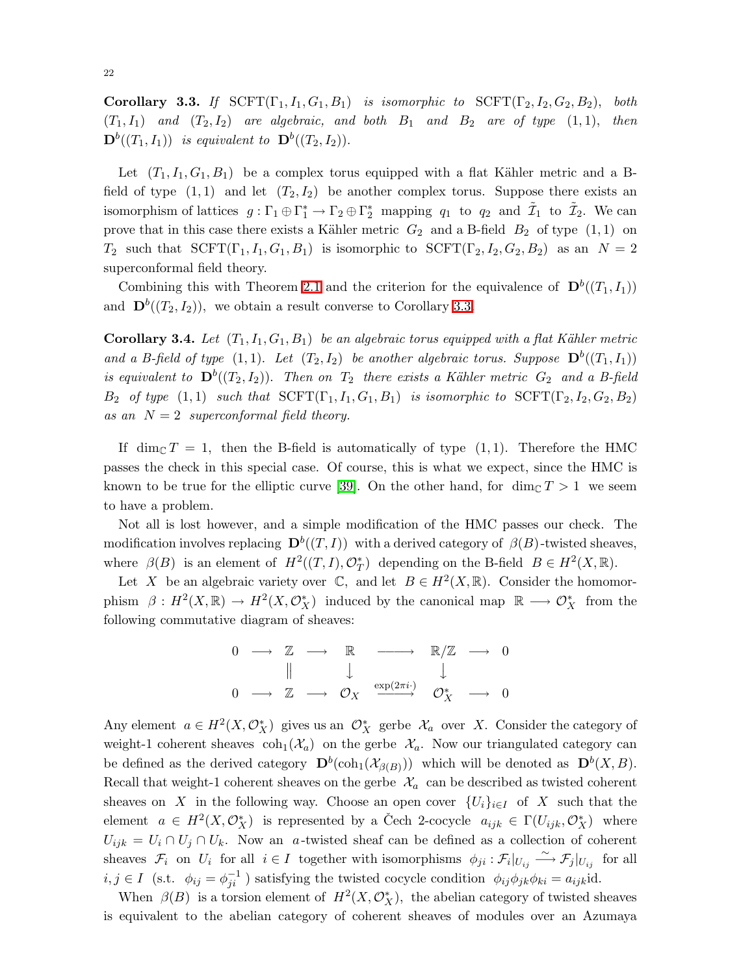Corollary 3.3. If  $SCFT(\Gamma_1,I_1,G_1,B_1)$  is isomorphic to  $SCFT(\Gamma_2,I_2,G_2,B_2)$ , both  $(T_1,I_1)$  and  $(T_2,I_2)$  are algebraic, and both  $B_1$  and  $B_2$  are of type  $(1,1)$ , then  $\mathbf{D}^b((T_1,I_1))$  is equivalent to  $\mathbf{D}^b((T_2,I_2)).$ 

Let  $(T_1,I_1,G_1,B_1)$  be a complex torus equipped with a flat Kähler metric and a Bfield of type  $(1,1)$  and let  $(T_2,I_2)$  be another complex torus. Suppose there exists an isomorphism of lattices  $g: \Gamma_1 \oplus \Gamma_1^* \to \Gamma_2 \oplus \Gamma_2^*$  mapping  $q_1$  to  $q_2$  and  $\tilde{\mathcal{I}}_1$  to  $\tilde{\mathcal{I}}_2$ . We can prove that in this case there exists a Kähler metric  $G_2$  and a B-field  $B_2$  of type  $(1, 1)$  on  $T_2$  such that  $SCFT(\Gamma_1,I_1,G_1,B_1)$  is isomorphic to  $SCFT(\Gamma_2,I_2,G_2,B_2)$  as an  $N=2$ superconformal field theory.

Combining this with Theorem [2.1](#page-13-1) and the criterion for the equivalence of  $\mathbf{D}^b((T_1,I_1))$ and  $\mathbf{D}^{b}((T_2,I_2))$ , we obtain a result converse to Corollary [3.3.](#page-20-1)

**Corollary 3.4.** Let  $(T_1, I_1, G_1, B_1)$  be an algebraic torus equipped with a flat Kähler metric and a B-field of type  $(1,1)$ . Let  $(T_2,I_2)$  be another algebraic torus. Suppose  $\mathbf{D}^b((T_1,I_1))$ is equivalent to  $\mathbf{D}^b((T_2,I_2))$ . Then on  $T_2$  there exists a Kähler metric  $G_2$  and a B-field  $B_2$  of type  $(1, 1)$  such that  $SCFT(\Gamma_1, I_1, G_1, B_1)$  is isomorphic to  $SCFT(\Gamma_2, I_2, G_2, B_2)$ as an  $N = 2$  superconformal field theory.

If dim<sub>C</sub>  $T = 1$ , then the B-field is automatically of type (1,1). Therefore the HMC passes the check in this special case. Of course, this is what we expect, since the HMC is known to be true for the elliptic curve [\[39\]](#page-31-6). On the other hand, for  $\dim_{\mathbb{C}} T > 1$  we seem to have a problem.

Not all is lost however, and a simple modification of the HMC passes our check. The modification involves replacing  $\mathbf{D}^b((T,I))$  with a derived category of  $\beta(B)$ -twisted sheaves, where  $\beta(B)$  is an element of  $H^2((T,I), \mathcal{O}_T^*)$  depending on the B-field  $B \in H^2(X, \mathbb{R})$ .

Let X be an algebraic variety over  $\mathbb{C}$ , and let  $B \in H^2(X, \mathbb{R})$ . Consider the homomorphism  $\beta: H^2(X,\mathbb{R}) \to H^2(X,\mathcal{O}_X^*)$  induced by the canonical map  $\mathbb{R} \longrightarrow \mathcal{O}_X^*$  from the following commutative diagram of sheaves:



Any element  $a \in H^2(X, \mathcal{O}_X^*)$  gives us an  $\mathcal{O}_X^*$  gerbe  $\mathcal{X}_a$  over X. Consider the category of weight-1 coherent sheaves  $\coh_1(\mathcal{X}_a)$  on the gerbe  $\mathcal{X}_a$ . Now our triangulated category can be defined as the derived category  $\mathbf{D}^b(\text{coh}_1(\mathcal{X}_{\beta(B)}))$  which will be denoted as  $\mathbf{D}^b(X, B)$ . Recall that weight-1 coherent sheaves on the gerbe  $\mathcal{X}_a$  can be described as twisted coherent sheaves on X in the following way. Choose an open cover  $\{U_i\}_{i\in I}$  of X such that the element  $a \in H^2(X, \mathcal{O}_X^*)$  is represented by a Čech 2-cocycle  $a_{ijk} \in \Gamma(U_{ijk}, \mathcal{O}_X^*)$  where  $U_{ijk} = U_i \cap U_j \cap U_k$ . Now an a-twisted sheaf can be defined as a collection of coherent sheaves  $\mathcal{F}_i$  on  $U_i$  for all  $i \in I$  together with isomorphisms  $\phi_{ji} : \mathcal{F}_i|_{U_{ij}} \longrightarrow \mathcal{F}_j|_{U_{ij}}$  for all  $i, j \in I$  (s.t.  $\phi_{ij} = \phi_{ji}^{-1}$ ) satisfying the twisted cocycle condition  $\phi_{ij}\phi_{jk}\phi_{ki} = a_{ijk}$ id.

When  $\beta(B)$  is a torsion element of  $H^2(X, \mathcal{O}_X^*)$ , the abelian category of twisted sheaves is equivalent to the abelian category of coherent sheaves of modules over an Azumaya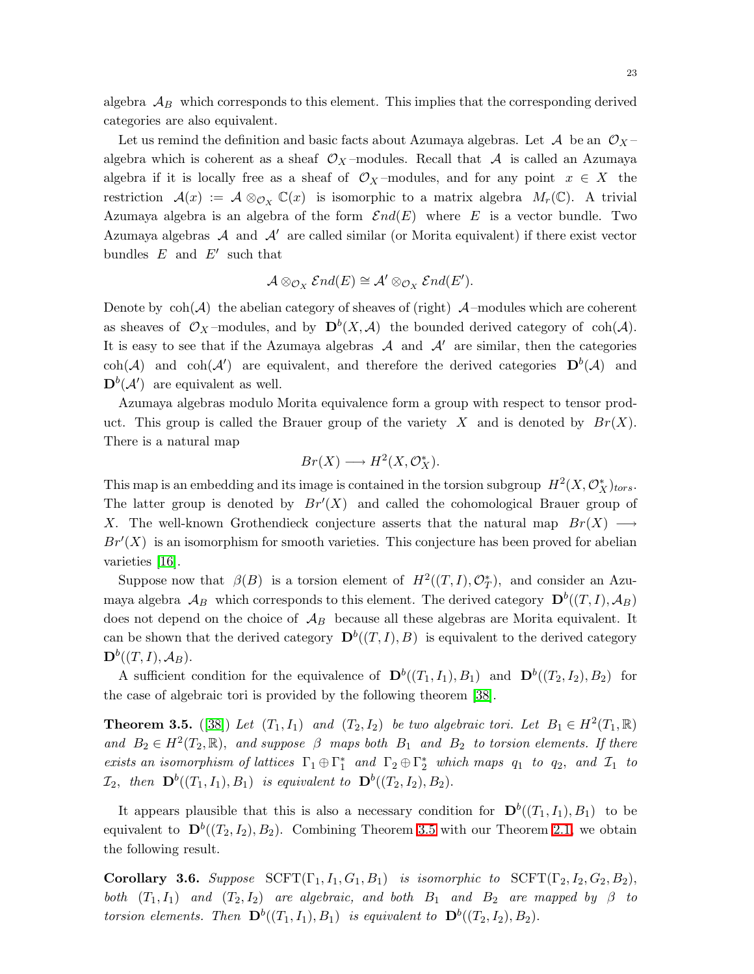algebra  $\mathcal{A}_B$  which corresponds to this element. This implies that the corresponding derived categories are also equivalent.

Let us remind the definition and basic facts about Azumaya algebras. Let  $\mathcal A$  be an  $\mathcal O_X$ algebra which is coherent as a sheaf  $\mathcal{O}_X$ -modules. Recall that A is called an Azumaya algebra if it is locally free as a sheaf of  $\mathcal{O}_X$ -modules, and for any point  $x \in X$  the restriction  $\mathcal{A}(x) := \mathcal{A} \otimes_{\mathcal{O}_X} \mathbb{C}(x)$  is isomorphic to a matrix algebra  $M_r(\mathbb{C})$ . A trivial Azumaya algebra is an algebra of the form  $\mathcal{E}nd(E)$  where E is a vector bundle. Two Azumaya algebras  $\mathcal A$  and  $\mathcal A'$  are called similar (or Morita equivalent) if there exist vector bundles  $E$  and  $E'$  such that

$$
\mathcal{A} \otimes_{\mathcal{O}_X} \mathcal{E}nd(E) \cong \mathcal{A}' \otimes_{\mathcal{O}_X} \mathcal{E}nd(E').
$$

Denote by  $\coth(\mathcal{A})$  the abelian category of sheaves of (right)  $\mathcal{A}$ –modules which are coherent as sheaves of  $\mathcal{O}_X$ -modules, and by  $\mathbf{D}^b(X, \mathcal{A})$  the bounded derived category of coh( $\mathcal{A}$ ). It is easy to see that if the Azumaya algebras  $A$  and  $A'$  are similar, then the categories  $\coh(\mathcal{A})$  and  $\coh(\mathcal{A}')$  are equivalent, and therefore the derived categories  $D^{b}(\mathcal{A})$  and  $\mathbf{D}^b(\mathcal{A}')$  are equivalent as well.

Azumaya algebras modulo Morita equivalence form a group with respect to tensor product. This group is called the Brauer group of the variety X and is denoted by  $Br(X)$ . There is a natural map

$$
Br(X) \longrightarrow H^2(X, \mathcal{O}_X^*).
$$

This map is an embedding and its image is contained in the torsion subgroup  $H^2(X, \mathcal{O}_X^*)_{tors}$ . The latter group is denoted by  $Br'(X)$  and called the cohomological Brauer group of X. The well-known Grothendieck conjecture asserts that the natural map  $Br(X) \longrightarrow$  $Br'(X)$  is an isomorphism for smooth varieties. This conjecture has been proved for abelian varieties [\[16\]](#page-30-19).

Suppose now that  $\beta(B)$  is a torsion element of  $H^2((T,I), \mathcal{O}_T^*)$ , and consider an Azumaya algebra  $\mathcal{A}_B$  which corresponds to this element. The derived category  $\mathbf{D}^b((T,I), \mathcal{A}_B)$ does not depend on the choice of  $A_B$  because all these algebras are Morita equivalent. It can be shown that the derived category  $\mathbf{D}^b((T,I),B)$  is equivalent to the derived category  $\mathbf{D}^b((T,I),\mathcal{A}_B).$ 

<span id="page-22-0"></span>A sufficient condition for the equivalence of  $\mathbf{D}^b((T_1,I_1),B_1)$  and  $\mathbf{D}^b((T_2,I_2),B_2)$  for the case of algebraic tori is provided by the following theorem [\[38\]](#page-30-20).

**Theorem 3.5.** ([\[38\]](#page-30-20)) Let  $(T_1, I_1)$  and  $(T_2, I_2)$  be two algebraic tori. Let  $B_1 \in H^2(T_1, \mathbb{R})$ and  $B_2 \in H^2(T_2, \mathbb{R})$ , and suppose  $\beta$  maps both  $B_1$  and  $B_2$  to torsion elements. If there exists an isomorphism of lattices  $\Gamma_1 \oplus \Gamma_1^*$  and  $\Gamma_2 \oplus \Gamma_2^*$  which maps  $q_1$  to  $q_2$ , and  $\mathcal{I}_1$  to  $\mathcal{I}_2$ , then  $\mathbf{D}^b((T_1,I_1),B_1)$  is equivalent to  $\mathbf{D}^b((T_2,I_2),B_2)$ .

It appears plausible that this is also a necessary condition for  $\mathbf{D}^b((T_1,I_1),B_1)$  to be equivalent to  $\mathbf{D}^{b}((T_2,I_2),B_2)$ . Combining Theorem [3.5](#page-22-0) with our Theorem [2.1,](#page-13-1) we obtain the following result.

<span id="page-22-1"></span>Corollary 3.6. Suppose  $SCFT(\Gamma_1,I_1,G_1,B_1)$  is isomorphic to  $SCFT(\Gamma_2,I_2,G_2,B_2)$ , both  $(T_1,I_1)$  and  $(T_2,I_2)$  are algebraic, and both  $B_1$  and  $B_2$  are mapped by  $\beta$  to torsion elements. Then  $\mathbf{D}^b((T_1,I_1),B_1)$  is equivalent to  $\mathbf{D}^b((T_2,I_2),B_2)$ .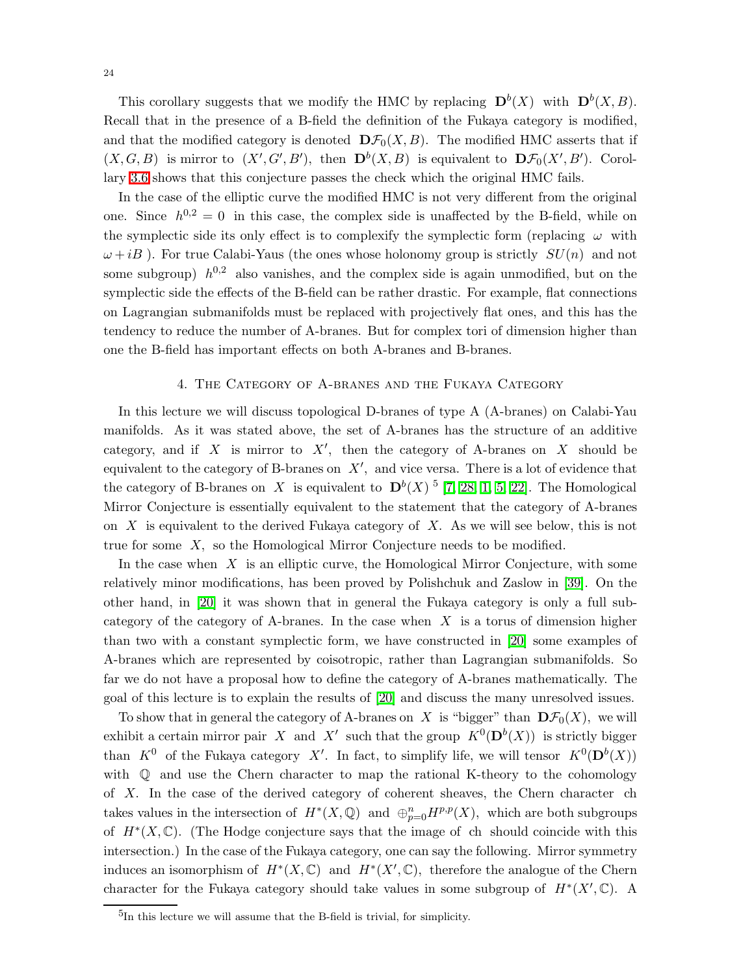This corollary suggests that we modify the HMC by replacing  $\mathbf{D}^{b}(X)$  with  $\mathbf{D}^{b}(X, B)$ . Recall that in the presence of a B-field the definition of the Fukaya category is modified, and that the modified category is denoted  $\mathbf{D}\mathcal{F}_0(X, B)$ . The modified HMC asserts that if  $(X, G, B)$  is mirror to  $(X', G', B')$ , then  $\mathbf{D}^b(X, B)$  is equivalent to  $\mathbf{D}\mathcal{F}_0(X', B')$ . Corollary [3.6](#page-22-1) shows that this conjecture passes the check which the original HMC fails.

In the case of the elliptic curve the modified HMC is not very different from the original one. Since  $h^{0,2} = 0$  in this case, the complex side is unaffected by the B-field, while on the symplectic side its only effect is to complexify the symplectic form (replacing  $\omega$  with  $\omega + iB$ ). For true Calabi-Yaus (the ones whose holonomy group is strictly  $SU(n)$  and not some subgroup)  $h^{0,2}$  also vanishes, and the complex side is again unmodified, but on the symplectic side the effects of the B-field can be rather drastic. For example, flat connections on Lagrangian submanifolds must be replaced with projectively flat ones, and this has the tendency to reduce the number of A-branes. But for complex tori of dimension higher than one the B-field has important effects on both A-branes and B-branes.

## 4. The Category of A-branes and the Fukaya Category

In this lecture we will discuss topological D-branes of type A (A-branes) on Calabi-Yau manifolds. As it was stated above, the set of A-branes has the structure of an additive category, and if  $X$  is mirror to  $X'$ , then the category of A-branes on  $X$  should be equivalent to the category of B-branes on  $X'$ , and vice versa. There is a lot of evidence that the category of B-branes on X is equivalent to  $D^{b}(X)$ <sup>5</sup> [\[7,](#page-29-7) [28,](#page-30-21) [1,](#page-29-8) [5,](#page-29-9) [22\]](#page-30-22). The Homological Mirror Conjecture is essentially equivalent to the statement that the category of A-branes on  $X$  is equivalent to the derived Fukaya category of  $X$ . As we will see below, this is not true for some X, so the Homological Mirror Conjecture needs to be modified.

In the case when  $X$  is an elliptic curve, the Homological Mirror Conjecture, with some relatively minor modifications, has been proved by Polishchuk and Zaslow in [\[39\]](#page-31-6). On the other hand, in [\[20\]](#page-30-6) it was shown that in general the Fukaya category is only a full subcategory of the category of A-branes. In the case when  $X$  is a torus of dimension higher than two with a constant symplectic form, we have constructed in [\[20\]](#page-30-6) some examples of A-branes which are represented by coisotropic, rather than Lagrangian submanifolds. So far we do not have a proposal how to define the category of A-branes mathematically. The goal of this lecture is to explain the results of [\[20\]](#page-30-6) and discuss the many unresolved issues.

To show that in general the category of A-branes on X is "bigger" than  $\mathbf{D}\mathcal{F}_0(X)$ , we will exhibit a certain mirror pair X and X' such that the group  $K^0(\mathbf{D}^b(X))$  is strictly bigger than  $K^0$  of the Fukaya category X'. In fact, to simplify life, we will tensor  $K^0(\mathbf{D}^b(X))$ with  $\mathbb Q$  and use the Chern character to map the rational K-theory to the cohomology of X. In the case of the derived category of coherent sheaves, the Chern character ch takes values in the intersection of  $H^*(X, \mathbb{Q})$  and  $\bigoplus_{p=0}^n H^{p,p}(X)$ , which are both subgroups of  $H^*(X,\mathbb{C})$ . (The Hodge conjecture says that the image of ch should coincide with this intersection.) In the case of the Fukaya category, one can say the following. Mirror symmetry induces an isomorphism of  $H^*(X, \mathbb{C})$  and  $H^*(X', \mathbb{C})$ , therefore the analogue of the Chern character for the Fukaya category should take values in some subgroup of  $H^*(X',\mathbb{C})$ . A

<sup>5</sup> In this lecture we will assume that the B-field is trivial, for simplicity.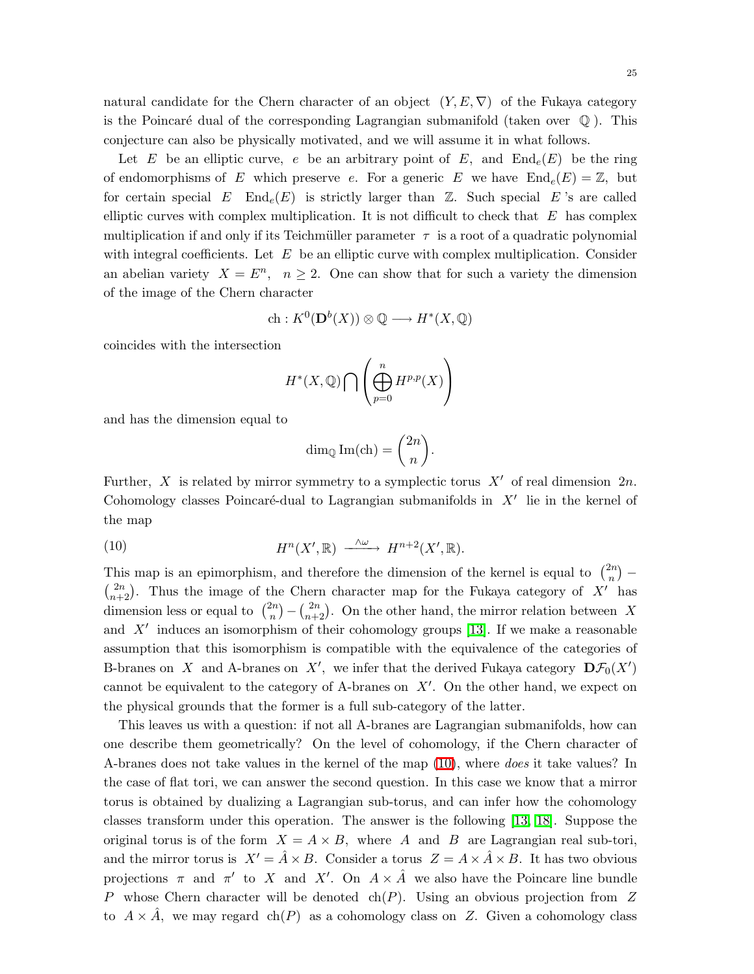Let E be an elliptic curve, e be an arbitrary point of E, and  $\text{End}_e(E)$  be the ring of endomorphisms of E which preserve e. For a generic E we have  $\text{End}_{e}(E) = \mathbb{Z}$ , but for certain special E End<sub>e</sub> $(E)$  is strictly larger than  $\mathbb{Z}$ . Such special E's are called elliptic curves with complex multiplication. It is not difficult to check that  $E$  has complex multiplication if and only if its Teichmüller parameter  $\tau$  is a root of a quadratic polynomial with integral coefficients. Let  $E$  be an elliptic curve with complex multiplication. Consider an abelian variety  $X = E^n$ ,  $n \ge 2$ . One can show that for such a variety the dimension of the image of the Chern character

$$
\mathrm{ch}: K^0(\mathbf{D}^b(X)) \otimes \mathbb{Q} \longrightarrow H^*(X, \mathbb{Q})
$$

coincides with the intersection

$$
H^*(X,\mathbb{Q})\bigcap\left(\bigoplus_{p=0}^n H^{p,p}(X)\right)
$$

and has the dimension equal to

$$
\dim_{\mathbb{Q}} \operatorname{Im}(\operatorname{ch}) = \binom{2n}{n}.
$$

<span id="page-24-0"></span>Further, X is related by mirror symmetry to a symplectic torus  $X'$  of real dimension  $2n$ . Cohomology classes Poincaré-dual to Lagrangian submanifolds in  $X'$  lie in the kernel of the map

(10) 
$$
H^{n}(X', \mathbb{R}) \longrightarrow H^{n+2}(X', \mathbb{R}).
$$

This map is an epimorphism, and therefore the dimension of the kernel is equal to  $\binom{2n}{n}$  $\binom{2n}{n}$  –  $\binom{2n}{n+2}$ . Thus the image of the Chern character map for the Fukaya category of X' has dimension less or equal to  $\binom{2n}{n}$  ${n \choose n} - {2n \choose n+2}$ . On the other hand, the mirror relation between X and  $X'$  induces an isomorphism of their cohomology groups [\[13\]](#page-30-23). If we make a reasonable assumption that this isomorphism is compatible with the equivalence of the categories of B-branes on X and A-branes on X', we infer that the derived Fukaya category  $\mathbf{D}\mathcal{F}_0(X')$ cannot be equivalent to the category of A-branes on  $X'$ . On the other hand, we expect on the physical grounds that the former is a full sub-category of the latter.

This leaves us with a question: if not all A-branes are Lagrangian submanifolds, how can one describe them geometrically? On the level of cohomology, if the Chern character of A-branes does not take values in the kernel of the map [\(10\)](#page-24-0), where does it take values? In the case of flat tori, we can answer the second question. In this case we know that a mirror torus is obtained by dualizing a Lagrangian sub-torus, and can infer how the cohomology classes transform under this operation. The answer is the following [\[13,](#page-30-23) [18\]](#page-30-24). Suppose the original torus is of the form  $X = A \times B$ , where A and B are Lagrangian real sub-tori, and the mirror torus is  $X' = \hat{A} \times B$ . Consider a torus  $Z = A \times \hat{A} \times B$ . It has two obvious projections  $\pi$  and  $\pi'$  to X and X'. On  $A \times \hat{A}$  we also have the Poincare line bundle P whose Chern character will be denoted ch(P). Using an obvious projection from  $Z$ to  $A \times \hat{A}$ , we may regard ch(P) as a cohomology class on Z. Given a cohomology class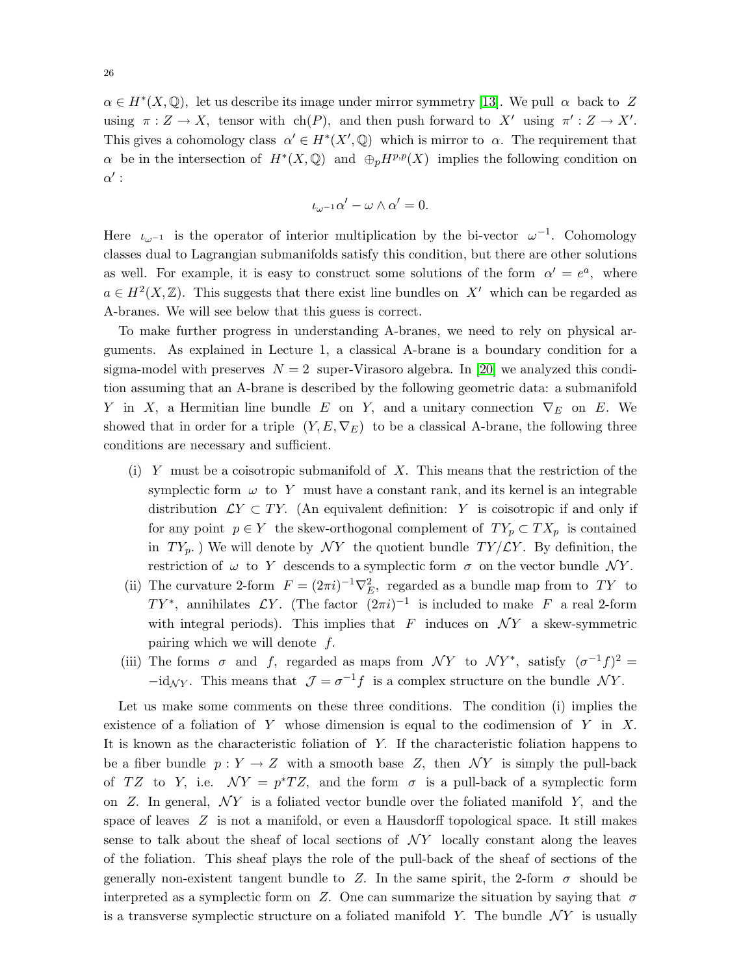$\alpha \in H^*(X, \mathbb{Q})$ , let us describe its image under mirror symmetry [\[13\]](#page-30-23). We pull  $\alpha$  back to Z using  $\pi: Z \to X$ , tensor with ch(P), and then push forward to X' using  $\pi': Z \to X'$ . This gives a cohomology class  $\alpha' \in H^*(X', \mathbb{Q})$  which is mirror to  $\alpha$ . The requirement that  $\alpha$  be in the intersection of  $H^*(X, \mathbb{Q})$  and  $\oplus_p H^{p,p}(X)$  implies the following condition on  $\alpha'$  :

$$
\iota_{\omega^{-1}}\alpha'-\omega\wedge\alpha'=0.
$$

Here  $\iota_{\omega^{-1}}$  is the operator of interior multiplication by the bi-vector  $\omega^{-1}$ . Cohomology classes dual to Lagrangian submanifolds satisfy this condition, but there are other solutions as well. For example, it is easy to construct some solutions of the form  $\alpha' = e^a$ , where  $a \in H^2(X,\mathbb{Z})$ . This suggests that there exist line bundles on X' which can be regarded as A-branes. We will see below that this guess is correct.

To make further progress in understanding A-branes, we need to rely on physical arguments. As explained in Lecture 1, a classical A-brane is a boundary condition for a sigma-model with preserves  $N = 2$  super-Virasoro algebra. In [\[20\]](#page-30-6) we analyzed this condition assuming that an A-brane is described by the following geometric data: a submanifold Y in X, a Hermitian line bundle E on Y, and a unitary connection  $\nabla_E$  on E. We showed that in order for a triple  $(Y, E, \nabla_E)$  to be a classical A-brane, the following three conditions are necessary and sufficient.

- (i) Y must be a coisotropic submanifold of  $X$ . This means that the restriction of the symplectic form  $\omega$  to Y must have a constant rank, and its kernel is an integrable distribution  $\mathcal{L}Y \subset TY$ . (An equivalent definition: Y is coisotropic if and only if for any point  $p \in Y$  the skew-orthogonal complement of  $TY_p \subset TX_p$  is contained in  $TY_p$ .) We will denote by  $\mathcal{N}Y$  the quotient bundle  $TY/\mathcal{L}Y$ . By definition, the restriction of  $\omega$  to Y descends to a symplectic form  $\sigma$  on the vector bundle NY.
- (ii) The curvature 2-form  $F = (2\pi i)^{-1} \nabla_E^2$ , regarded as a bundle map from to TY to TY<sup>\*</sup>, annihilates  $\mathcal{L}Y$ . (The factor  $(2\pi i)^{-1}$  is included to make F a real 2-form with integral periods). This implies that F induces on  $\mathcal{N}Y$  a skew-symmetric pairing which we will denote  $f$ .
- (iii) The forms  $\sigma$  and f, regarded as maps from NY to NY<sup>\*</sup>, satisfy  $(\sigma^{-1}f)^2$  =  $-i d_{\mathcal{N} Y}$ . This means that  $\mathcal{J} = \sigma^{-1} f$  is a complex structure on the bundle  $\mathcal{N} Y$ .

Let us make some comments on these three conditions. The condition (i) implies the existence of a foliation of  $Y$  whose dimension is equal to the codimension of  $Y$  in  $X$ . It is known as the characteristic foliation of Y. If the characteristic foliation happens to be a fiber bundle  $p: Y \to Z$  with a smooth base Z, then NY is simply the pull-back of TZ to Y, i.e.  $\mathcal{N}Y = p^*TZ$ , and the form  $\sigma$  is a pull-back of a symplectic form on  $Z$ . In general,  $\mathcal{N}Y$  is a foliated vector bundle over the foliated manifold Y, and the space of leaves Z is not a manifold, or even a Hausdorff topological space. It still makes sense to talk about the sheaf of local sections of  $\mathcal{N}Y$  locally constant along the leaves of the foliation. This sheaf plays the role of the pull-back of the sheaf of sections of the generally non-existent tangent bundle to Z. In the same spirit, the 2-form  $\sigma$  should be interpreted as a symplectic form on Z. One can summarize the situation by saying that  $\sigma$ is a transverse symplectic structure on a foliated manifold Y. The bundle  $\mathcal{N}Y$  is usually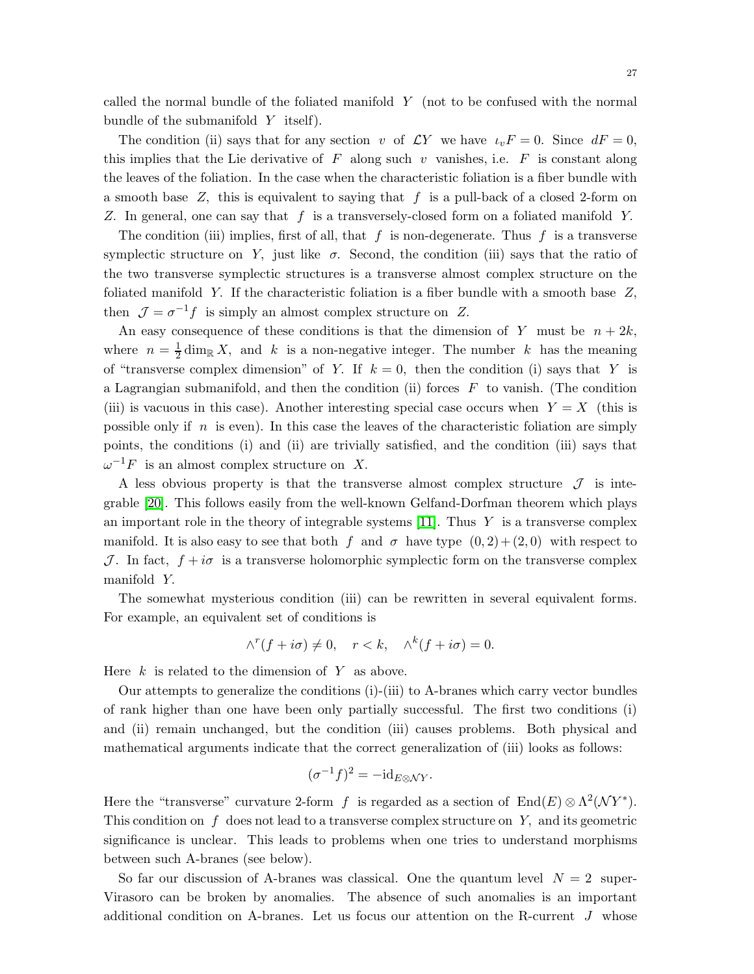called the normal bundle of the foliated manifold Y (not to be confused with the normal bundle of the submanifold  $Y$  itself).

The condition (ii) says that for any section v of  $\mathcal{L}Y$  we have  $\iota_vF = 0$ . Since  $dF = 0$ , this implies that the Lie derivative of F along such v vanishes, i.e.  $F$  is constant along the leaves of the foliation. In the case when the characteristic foliation is a fiber bundle with a smooth base  $Z$ , this is equivalent to saying that  $f$  is a pull-back of a closed 2-form on Z. In general, one can say that  $f$  is a transversely-closed form on a foliated manifold Y.

The condition (iii) implies, first of all, that  $f$  is non-degenerate. Thus  $f$  is a transverse symplectic structure on Y, just like  $\sigma$ . Second, the condition (iii) says that the ratio of the two transverse symplectic structures is a transverse almost complex structure on the foliated manifold Y. If the characteristic foliation is a fiber bundle with a smooth base Z, then  $\mathcal{J} = \sigma^{-1} f$  is simply an almost complex structure on Z.

An easy consequence of these conditions is that the dimension of Y must be  $n + 2k$ , where  $n=\frac{1}{2}$  $\frac{1}{2}$  dim<sub>R</sub> X, and k is a non-negative integer. The number k has the meaning of "transverse complex dimension" of Y. If  $k = 0$ , then the condition (i) says that Y is a Lagrangian submanifold, and then the condition (ii) forces  $F$  to vanish. (The condition (iii) is vacuous in this case). Another interesting special case occurs when  $Y = X$  (this is possible only if  $n$  is even). In this case the leaves of the characteristic foliation are simply points, the conditions (i) and (ii) are trivially satisfied, and the condition (iii) says that  $\omega^{-1}F$  is an almost complex structure on X.

A less obvious property is that the transverse almost complex structure  $\mathcal J$  is integrable [\[20\]](#page-30-6). This follows easily from the well-known Gelfand-Dorfman theorem which plays an important role in the theory of integrable systems [\[11\]](#page-29-10). Thus  $Y$  is a transverse complex manifold. It is also easy to see that both f and  $\sigma$  have type  $(0, 2) + (2, 0)$  with respect to J. In fact,  $f + i\sigma$  is a transverse holomorphic symplectic form on the transverse complex manifold Y.

The somewhat mysterious condition (iii) can be rewritten in several equivalent forms. For example, an equivalent set of conditions is

$$
\wedge^r(f + i\sigma) \neq 0, \quad r < k, \quad \wedge^k(f + i\sigma) = 0.
$$

Here  $k$  is related to the dimension of Y as above.

Our attempts to generalize the conditions (i)-(iii) to A-branes which carry vector bundles of rank higher than one have been only partially successful. The first two conditions (i) and (ii) remain unchanged, but the condition (iii) causes problems. Both physical and mathematical arguments indicate that the correct generalization of (iii) looks as follows:

$$
(\sigma^{-1}f)^2 = -id_{E \otimes \mathcal{N}Y}.
$$

Here the "transverse" curvature 2-form f is regarded as a section of  $End(E) \otimes \Lambda^2(\mathcal{N}Y^*)$ . This condition on  $f$  does not lead to a transverse complex structure on  $Y$ , and its geometric significance is unclear. This leads to problems when one tries to understand morphisms between such A-branes (see below).

So far our discussion of A-branes was classical. One the quantum level  $N = 2$  super-Virasoro can be broken by anomalies. The absence of such anomalies is an important additional condition on A-branes. Let us focus our attention on the R-current J whose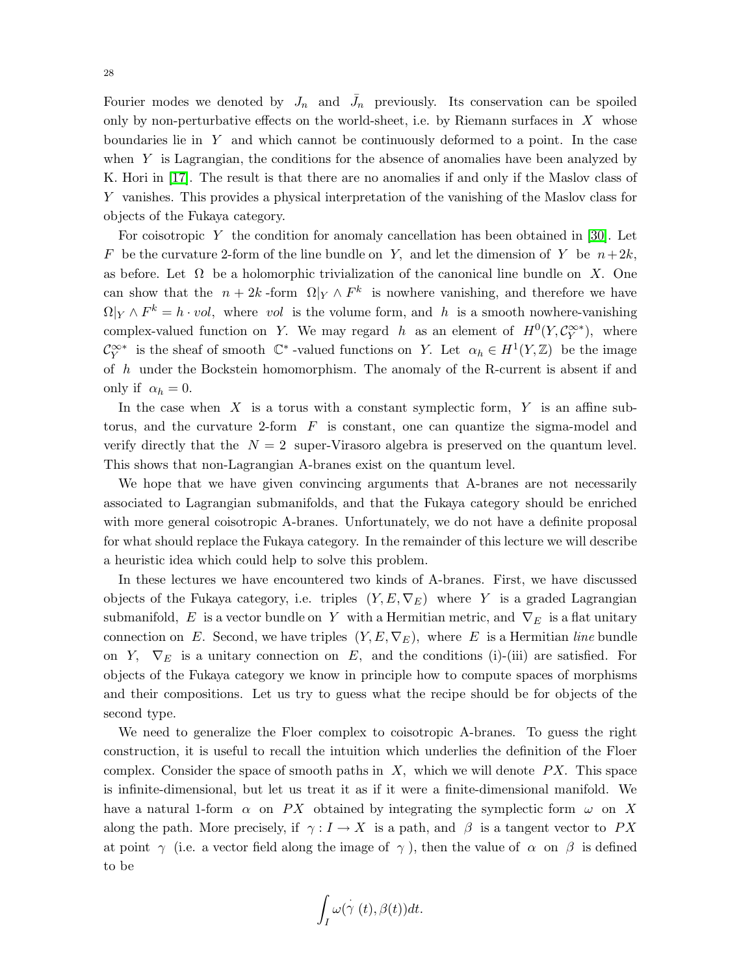Fourier modes we denoted by  $J_n$  and  $\bar{J}_n$  previously. Its conservation can be spoiled only by non-perturbative effects on the world-sheet, i.e. by Riemann surfaces in  $X$  whose boundaries lie in Y and which cannot be continuously deformed to a point. In the case when  $Y$  is Lagrangian, the conditions for the absence of anomalies have been analyzed by K. Hori in [\[17\]](#page-30-25). The result is that there are no anomalies if and only if the Maslov class of Y vanishes. This provides a physical interpretation of the vanishing of the Maslov class for objects of the Fukaya category.

For coisotropic Y the condition for anomaly cancellation has been obtained in [\[30\]](#page-30-26). Let F be the curvature 2-form of the line bundle on Y, and let the dimension of Y be  $n+2k$ , as before. Let  $\Omega$  be a holomorphic trivialization of the canonical line bundle on X. One can show that the  $n + 2k$ -form  $\Omega|_Y \wedge F^k$  is nowhere vanishing, and therefore we have  $\Omega|_Y \wedge F^k = h \cdot vol$ , where vol is the volume form, and h is a smooth nowhere-vanishing complex-valued function on Y. We may regard h as an element of  $H^0(Y, \mathcal{C}^{\infty*}_Y)$ , where  $\mathcal{C}^{\infty*}_Y$  is the sheaf of smooth  $\mathbb{C}^*$ -valued functions on Y. Let  $\alpha_h \in H^1(Y,\mathbb{Z})$  be the image of h under the Bockstein homomorphism. The anomaly of the R-current is absent if and only if  $\alpha_h = 0$ .

In the case when  $X$  is a torus with a constant symplectic form,  $Y$  is an affine subtorus, and the curvature 2-form  $F$  is constant, one can quantize the sigma-model and verify directly that the  $N = 2$  super-Virasoro algebra is preserved on the quantum level. This shows that non-Lagrangian A-branes exist on the quantum level.

We hope that we have given convincing arguments that A-branes are not necessarily associated to Lagrangian submanifolds, and that the Fukaya category should be enriched with more general coisotropic A-branes. Unfortunately, we do not have a definite proposal for what should replace the Fukaya category. In the remainder of this lecture we will describe a heuristic idea which could help to solve this problem.

In these lectures we have encountered two kinds of A-branes. First, we have discussed objects of the Fukaya category, i.e. triples  $(Y, E, \nabla_E)$  where Y is a graded Lagrangian submanifold, E is a vector bundle on Y with a Hermitian metric, and  $\nabla_E$  is a flat unitary connection on E. Second, we have triples  $(Y, E, \nabla_E)$ , where E is a Hermitian line bundle on Y,  $\nabla_E$  is a unitary connection on E, and the conditions (i)-(iii) are satisfied. For objects of the Fukaya category we know in principle how to compute spaces of morphisms and their compositions. Let us try to guess what the recipe should be for objects of the second type.

We need to generalize the Floer complex to coisotropic A-branes. To guess the right construction, it is useful to recall the intuition which underlies the definition of the Floer complex. Consider the space of smooth paths in  $X$ , which we will denote  $PX$ . This space is infinite-dimensional, but let us treat it as if it were a finite-dimensional manifold. We have a natural 1-form  $\alpha$  on PX obtained by integrating the symplectic form  $\omega$  on X along the path. More precisely, if  $\gamma: I \to X$  is a path, and  $\beta$  is a tangent vector to PX at point  $\gamma$  (i.e. a vector field along the image of  $\gamma$ ), then the value of  $\alpha$  on  $\beta$  is defined to be

$$
\int_I \omega(\gamma(t), \beta(t))dt.
$$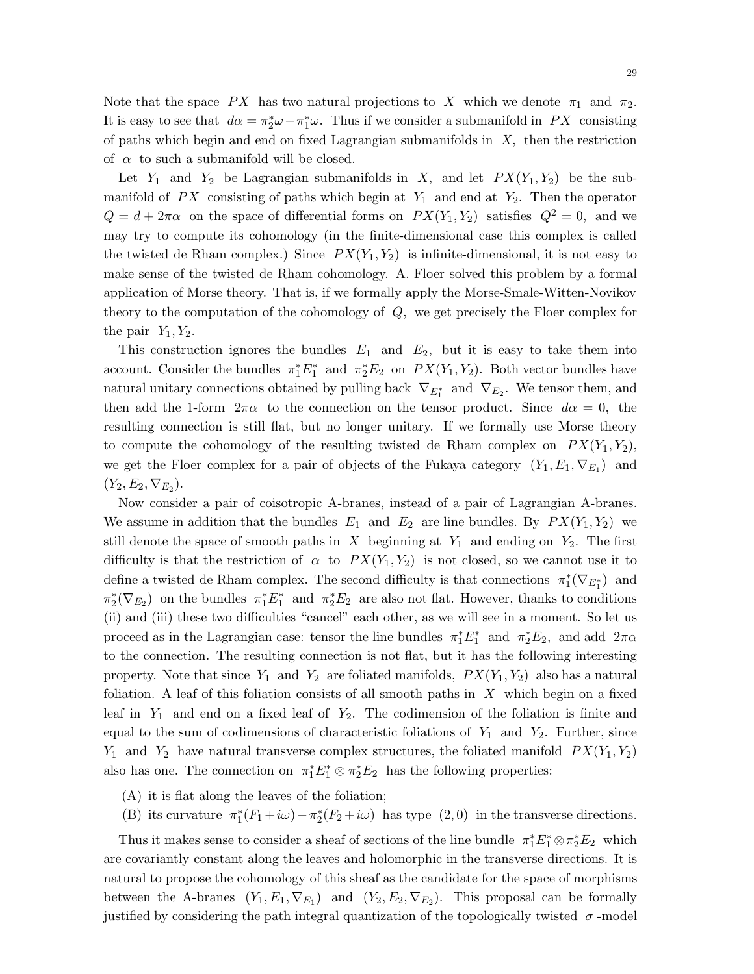Note that the space PX has two natural projections to X which we denote  $\pi_1$  and  $\pi_2$ . It is easy to see that  $d\alpha = \pi_2^* \omega - \pi_1^* \omega$ . Thus if we consider a submanifold in PX consisting of paths which begin and end on fixed Lagrangian submanifolds in  $X$ , then the restriction of  $\alpha$  to such a submanifold will be closed.

Let  $Y_1$  and  $Y_2$  be Lagrangian submanifolds in X, and let  $PX(Y_1, Y_2)$  be the submanifold of  $PX$  consisting of paths which begin at  $Y_1$  and end at  $Y_2$ . Then the operator  $Q = d + 2\pi\alpha$  on the space of differential forms on  $PX(Y_1, Y_2)$  satisfies  $Q^2 = 0$ , and we may try to compute its cohomology (in the finite-dimensional case this complex is called the twisted de Rham complex.) Since  $PX(Y_1, Y_2)$  is infinite-dimensional, it is not easy to make sense of the twisted de Rham cohomology. A. Floer solved this problem by a formal application of Morse theory. That is, if we formally apply the Morse-Smale-Witten-Novikov theory to the computation of the cohomology of Q, we get precisely the Floer complex for the pair  $Y_1, Y_2$ .

This construction ignores the bundles  $E_1$  and  $E_2$ , but it is easy to take them into account. Consider the bundles  $\pi_1^* E_1^*$  and  $\pi_2^* E_2$  on  $PX(Y_1, Y_2)$ . Both vector bundles have natural unitary connections obtained by pulling back  $\nabla_{E_1^*}$  and  $\nabla_{E_2}$ . We tensor them, and then add the 1-form  $2\pi\alpha$  to the connection on the tensor product. Since  $d\alpha = 0$ , the resulting connection is still flat, but no longer unitary. If we formally use Morse theory to compute the cohomology of the resulting twisted de Rham complex on  $PX(Y_1, Y_2)$ , we get the Floer complex for a pair of objects of the Fukaya category  $(Y_1, E_1, \nabla_{E_1})$  and  $(Y_2, E_2, \nabla_{E_2}).$ 

Now consider a pair of coisotropic A-branes, instead of a pair of Lagrangian A-branes. We assume in addition that the bundles  $E_1$  and  $E_2$  are line bundles. By  $PX(Y_1, Y_2)$  we still denote the space of smooth paths in X beginning at  $Y_1$  and ending on  $Y_2$ . The first difficulty is that the restriction of  $\alpha$  to  $PX(Y_1, Y_2)$  is not closed, so we cannot use it to define a twisted de Rham complex. The second difficulty is that connections  $\pi_1^*(\nabla_{E_1^*})$  and  $\pi_2^*(\nabla_{E_2})$  on the bundles  $\pi_1^*E_1^*$  and  $\pi_2^*E_2$  are also not flat. However, thanks to conditions (ii) and (iii) these two difficulties "cancel" each other, as we will see in a moment. So let us proceed as in the Lagrangian case: tensor the line bundles  $\pi_1^* E_1^*$  and  $\pi_2^* E_2$ , and add  $2\pi\alpha$ to the connection. The resulting connection is not flat, but it has the following interesting property. Note that since  $Y_1$  and  $Y_2$  are foliated manifolds,  $PX(Y_1, Y_2)$  also has a natural foliation. A leaf of this foliation consists of all smooth paths in  $X$  which begin on a fixed leaf in  $Y_1$  and end on a fixed leaf of  $Y_2$ . The codimension of the foliation is finite and equal to the sum of codimensions of characteristic foliations of  $Y_1$  and  $Y_2$ . Further, since  $Y_1$  and  $Y_2$  have natural transverse complex structures, the foliated manifold  $PX(Y_1,Y_2)$ also has one. The connection on  $\pi_1^* E_1^* \otimes \pi_2^* E_2$  has the following properties:

- (A) it is flat along the leaves of the foliation;
- (B) its curvature  $\pi_1^*(F_1+i\omega)-\pi_2^*(F_2+i\omega)$  has type  $(2,0)$  in the transverse directions.

Thus it makes sense to consider a sheaf of sections of the line bundle  $\pi_1^* E_1^* \otimes \pi_2^* E_2$  which are covariantly constant along the leaves and holomorphic in the transverse directions. It is natural to propose the cohomology of this sheaf as the candidate for the space of morphisms between the A-branes  $(Y_1, E_1, \nabla_{E_1})$  and  $(Y_2, E_2, \nabla_{E_2})$ . This proposal can be formally justified by considering the path integral quantization of the topologically twisted  $\sigma$ -model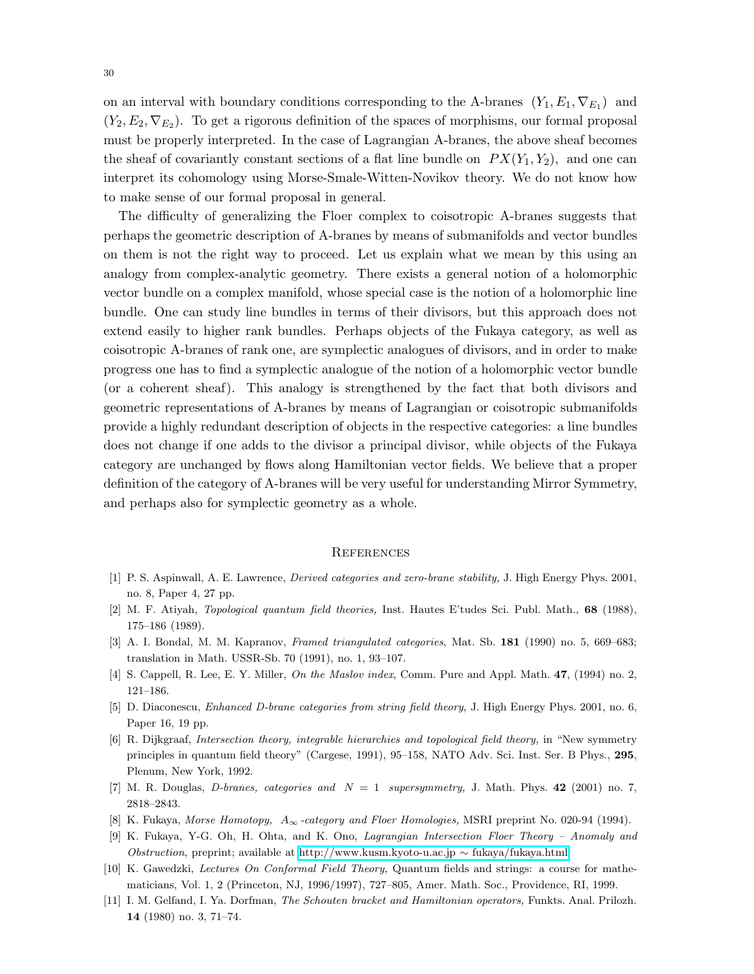on an interval with boundary conditions corresponding to the A-branes  $(Y_1, E_1, \nabla_{E_1})$  and  $(Y_2, E_2, \nabla_{E_2})$ . To get a rigorous definition of the spaces of morphisms, our formal proposal must be properly interpreted. In the case of Lagrangian A-branes, the above sheaf becomes the sheaf of covariantly constant sections of a flat line bundle on  $PX(Y_1,Y_2)$ , and one can interpret its cohomology using Morse-Smale-Witten-Novikov theory. We do not know how to make sense of our formal proposal in general.

The difficulty of generalizing the Floer complex to coisotropic A-branes suggests that perhaps the geometric description of A-branes by means of submanifolds and vector bundles on them is not the right way to proceed. Let us explain what we mean by this using an analogy from complex-analytic geometry. There exists a general notion of a holomorphic vector bundle on a complex manifold, whose special case is the notion of a holomorphic line bundle. One can study line bundles in terms of their divisors, but this approach does not extend easily to higher rank bundles. Perhaps objects of the Fukaya category, as well as coisotropic A-branes of rank one, are symplectic analogues of divisors, and in order to make progress one has to find a symplectic analogue of the notion of a holomorphic vector bundle (or a coherent sheaf). This analogy is strengthened by the fact that both divisors and geometric representations of A-branes by means of Lagrangian or coisotropic submanifolds provide a highly redundant description of objects in the respective categories: a line bundles does not change if one adds to the divisor a principal divisor, while objects of the Fukaya category are unchanged by flows along Hamiltonian vector fields. We believe that a proper definition of the category of A-branes will be very useful for understanding Mirror Symmetry, and perhaps also for symplectic geometry as a whole.

### **REFERENCES**

- <span id="page-29-8"></span><span id="page-29-1"></span>[1] P. S. Aspinwall, A. E. Lawrence, Derived categories and zero-brane stability, J. High Energy Phys. 2001, no. 8, Paper 4, 27 pp.
- <span id="page-29-4"></span>[2] M. F. Atiyah, Topological quantum field theories, Inst. Hautes E'tudes Sci. Publ. Math., 68 (1988), 175–186 (1989).
- <span id="page-29-5"></span>[3] A. I. Bondal, M. M. Kapranov, Framed triangulated categories, Mat. Sb. 181 (1990) no. 5, 669–683; translation in Math. USSR-Sb. 70 (1991), no. 1, 93–107.
- <span id="page-29-9"></span>[4] S. Cappell, R. Lee, E. Y. Miller, On the Maslov index, Comm. Pure and Appl. Math. 47, (1994) no. 2, 121–186.
- <span id="page-29-2"></span>[5] D. Diaconescu, Enhanced D-brane categories from string field theory, J. High Energy Phys. 2001, no. 6, Paper 16, 19 pp.
- [6] R. Dijkgraaf, Intersection theory, integrable hierarchies and topological field theory, in "New symmetry principles in quantum field theory" (Cargese, 1991), 95–158, NATO Adv. Sci. Inst. Ser. B Phys., 295, Plenum, New York, 1992.
- <span id="page-29-7"></span><span id="page-29-3"></span>[7] M. R. Douglas, D-branes, categories and  $N = 1$  supersymmetry, J. Math. Phys. 42 (2001) no. 7, 2818–2843.
- <span id="page-29-6"></span>[8] K. Fukaya, Morse Homotopy, A<sup>∞</sup> -category and Floer Homologies, MSRI preprint No. 020-94 (1994).
- [9] K. Fukaya, Y-G. Oh, H. Ohta, and K. Ono, Lagrangian Intersection Floer Theory Anomaly and Obstruction, preprint; available at [http://www.kusm.kyoto-u.ac.jp](http://www.kusm.kyoto-u.ac.jp~fukaya/fukaya.html) ∼ fukaya/fukaya.html
- <span id="page-29-0"></span>[10] K. Gawedzki, Lectures On Conformal Field Theory, Quantum fields and strings: a course for mathematicians, Vol. 1, 2 (Princeton, NJ, 1996/1997), 727–805, Amer. Math. Soc., Providence, RI, 1999.
- <span id="page-29-10"></span>[11] I. M. Gelfand, I. Ya. Dorfman, The Schouten bracket and Hamiltonian operators, Funkts. Anal. Prilozh. 14 (1980) no. 3, 71–74.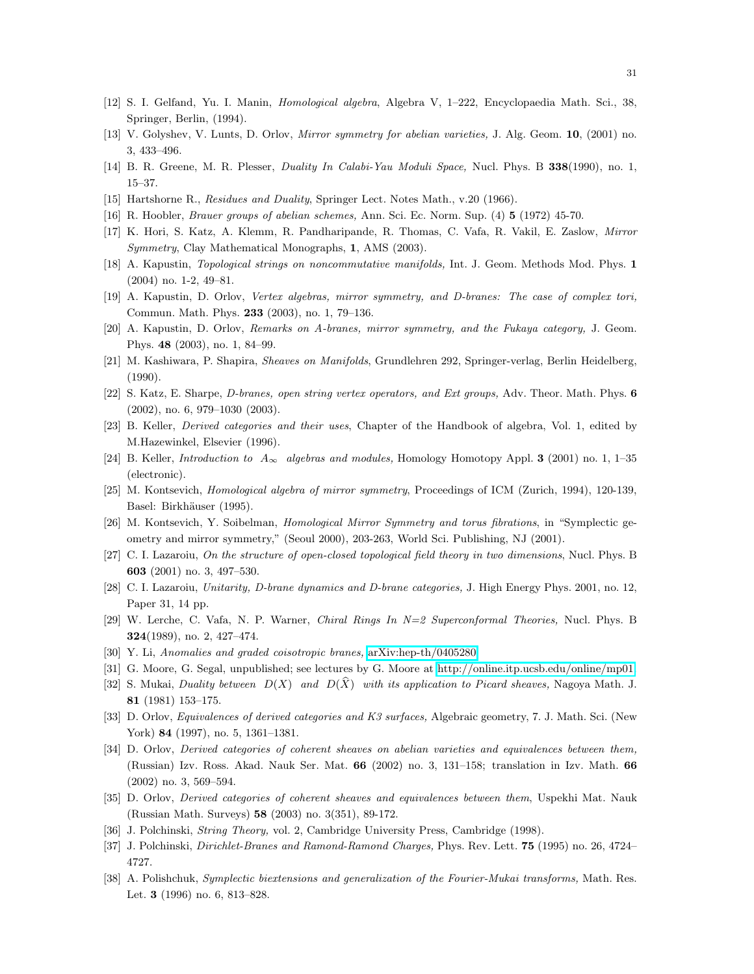- <span id="page-30-23"></span><span id="page-30-12"></span>[12] S. I. Gelfand, Yu. I. Manin, Homological algebra, Algebra V, 1–222, Encyclopaedia Math. Sci., 38, Springer, Berlin, (1994).
- <span id="page-30-3"></span>[13] V. Golyshev, V. Lunts, D. Orlov, Mirror symmetry for abelian varieties, J. Alg. Geom. 10, (2001) no. 3, 433–496.
- <span id="page-30-11"></span>[14] B. R. Greene, M. R. Plesser, *Duality In Calabi-Yau Moduli Space*, Nucl. Phys. B 338(1990), no. 1, 15–37.
- <span id="page-30-19"></span>[15] Hartshorne R., Residues and Duality, Springer Lect. Notes Math., v.20 (1966).
- <span id="page-30-25"></span>[16] R. Hoobler, Brauer groups of abelian schemes, Ann. Sci. Ec. Norm. Sup. (4) 5 (1972) 45-70.
- <span id="page-30-24"></span>[17] K. Hori, S. Katz, A. Klemm, R. Pandharipande, R. Thomas, C. Vafa, R. Vakil, E. Zaslow, Mirror Symmetry, Clay Mathematical Monographs, 1, AMS (2003).
- <span id="page-30-1"></span>[18] A. Kapustin, *Topological strings on noncommutative manifolds*, Int. J. Geom. Methods Mod. Phys. 1 (2004) no. 1-2, 49–81.
- <span id="page-30-6"></span>[19] A. Kapustin, D. Orlov, Vertex algebras, mirror symmetry, and D-branes: The case of complex tori, Commun. Math. Phys. 233 (2003), no. 1, 79–136.
- <span id="page-30-13"></span>[20] A. Kapustin, D. Orlov, Remarks on A-branes, mirror symmetry, and the Fukaya category, J. Geom. Phys. 48 (2003), no. 1, 84–99.
- <span id="page-30-22"></span>[21] M. Kashiwara, P. Shapira, Sheaves on Manifolds, Grundlehren 292, Springer-verlag, Berlin Heidelberg, (1990).
- <span id="page-30-14"></span>[22] S. Katz, E. Sharpe, D-branes, open string vertex operators, and Ext groups, Adv. Theor. Math. Phys. 6 (2002), no. 6, 979–1030 (2003).
- <span id="page-30-10"></span>[23] B. Keller, Derived categories and their uses, Chapter of the Handbook of algebra, Vol. 1, edited by M.Hazewinkel, Elsevier (1996).
- <span id="page-30-0"></span>[24] B. Keller, *Introduction to*  $A_{\infty}$  algebras and modules, Homology Homotopy Appl. **3** (2001) no. 1, 1–35 (electronic).
- <span id="page-30-9"></span>[25] M. Kontsevich, Homological algebra of mirror symmetry, Proceedings of ICM (Zurich, 1994), 120-139, Basel: Birkhäuser (1995).
- <span id="page-30-8"></span>[26] M. Kontsevich, Y. Soibelman, Homological Mirror Symmetry and torus fibrations, in "Symplectic geometry and mirror symmetry," (Seoul 2000), 203-263, World Sci. Publishing, NJ (2001).
- <span id="page-30-21"></span>[27] C. I. Lazaroiu, On the structure of open-closed topological field theory in two dimensions, Nucl. Phys. B 603 (2001) no. 3, 497–530.
- <span id="page-30-4"></span>[28] C. I. Lazaroiu, Unitarity, D-brane dynamics and D-brane categories, J. High Energy Phys. 2001, no. 12, Paper 31, 14 pp.
- <span id="page-30-26"></span>[29] W. Lerche, C. Vafa, N. P. Warner, Chiral Rings In N=2 Superconformal Theories, Nucl. Phys. B 324(1989), no. 2, 427–474.
- <span id="page-30-7"></span>[30] Y. Li, Anomalies and graded coisotropic branes, [arXiv:hep-th/0405280.](http://arXiv.org/abs/hep-th/0405280)
- <span id="page-30-17"></span>[31] G. Moore, G. Segal, unpublished; see lectures by G. Moore at [http://online.itp.ucsb.edu/online/mp01.](http://online.itp.ucsb.edu/online/mp01)
- [32] S. Mukai, Duality between  $D(X)$  and  $D(\hat{X})$  with its application to Picard sheaves, Nagoya Math. J. 81 (1981) 153–175.
- <span id="page-30-18"></span><span id="page-30-15"></span>[33] D. Orlov, Equivalences of derived categories and K3 surfaces, Algebraic geometry, 7. J. Math. Sci. (New York) 84 (1997), no. 5, 1361–1381.
- [34] D. Orlov, Derived categories of coherent sheaves on abelian varieties and equivalences between them, (Russian) Izv. Ross. Akad. Nauk Ser. Mat. 66 (2002) no. 3, 131–158; translation in Izv. Math. 66 (2002) no. 3, 569–594.
- <span id="page-30-16"></span><span id="page-30-2"></span>[35] D. Orlov, Derived categories of coherent sheaves and equivalences between them, Uspekhi Mat. Nauk (Russian Math. Surveys) 58 (2003) no. 3(351), 89-172.
- <span id="page-30-5"></span>[36] J. Polchinski, String Theory, vol. 2, Cambridge University Press, Cambridge (1998).
- <span id="page-30-20"></span>[37] J. Polchinski, Dirichlet-Branes and Ramond-Ramond Charges, Phys. Rev. Lett. 75 (1995) no. 26, 4724– 4727.
- [38] A. Polishchuk, Symplectic biextensions and generalization of the Fourier-Mukai transforms, Math. Res. Let. 3 (1996) no. 6, 813–828.